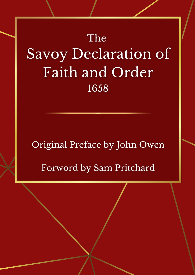# The Savoy Declaration of Faith and Order 1658

# Original Preface by John Owen

# Forword by Sam Pritchard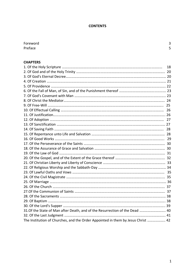#### **CONTENTS**

| Foreword | $\sim$<br>٠         |
|----------|---------------------|
| Preface  | $\blacksquare$<br>۔ |

#### **CHAPTERS**

|                                                                                  | 18 |
|----------------------------------------------------------------------------------|----|
|                                                                                  |    |
|                                                                                  |    |
|                                                                                  |    |
|                                                                                  |    |
|                                                                                  |    |
|                                                                                  |    |
|                                                                                  |    |
|                                                                                  |    |
|                                                                                  |    |
|                                                                                  |    |
|                                                                                  |    |
|                                                                                  |    |
|                                                                                  |    |
|                                                                                  |    |
|                                                                                  |    |
|                                                                                  |    |
|                                                                                  |    |
|                                                                                  |    |
|                                                                                  |    |
|                                                                                  |    |
|                                                                                  |    |
|                                                                                  |    |
|                                                                                  |    |
|                                                                                  |    |
|                                                                                  |    |
|                                                                                  |    |
|                                                                                  |    |
|                                                                                  |    |
|                                                                                  |    |
| 31. Of the State of Man after Death, and of the Resurrection of the Dead  40     |    |
|                                                                                  |    |
| The Institution of Churches, and the Order Appointed in them by Jesus Christ  42 |    |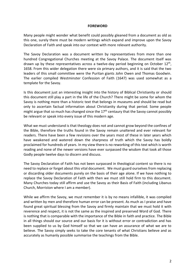#### **FOREWORD**

Many people might wonder what benefit could possibly gleaned from a document as old as this one, surely there must be modern writings which expand and improve upon the Savoy Declaration of Faith and speak into our context with more relevant authority.

The Savoy Declaration was a document written by representatives from more than one hundred Congregational Churches meeting at the Savoy Palace. The document itself was drawn up by these representatives across a twelve-day period beginning on October 12<sup>th</sup>, 1658. From this wider delegation there were six primary authors, and it is said that the two leaders of this small committee were the Puritan giants John Owen and Thomas Goodwin. The earlier compiled Westminster Confession of Faith (1647) was used somewhat as a template for the Savoy.

Is this document just an interesting insight into the history of Biblical Christianity or should this document still play a part in the life of the Church? There might be some for whom the Savoy is nothing more than a historic text that belongs in museums and should be read but only to ascertain factual information about Christianity during that period. Some people might argue that so much has changed since the  $17<sup>th</sup>$  centaury that the Savoy cannot possibly be relevant or speak into every issue of this modern age.

What we must understand is that theology does not and cannot grow beyond the confines of the Bible, therefore the truths found in the Savoy remain unaltered and ever relevant for readers. There have been a few revisions over the years most of these in later years which have weakened and watered down the sharpness of truth which the Savoy has boldly proclaimed for hundreds of years. In my view there is no reworking of this text which is worth reading and none of the newer versions have ever surpassed the wisdom that took all those Godly people twelve days to discern and discuss.

The Savoy Declaration of Faith has not been surpassed in theological content so there is no need to replace or forget about this vital document. We must guard ourselves from replacing or discarding older documents purely on the basis of their age alone. If we have nothing to replace the Savoy Declaration of Faith with then we must still hold firm to this document. Many Churches today still affirm and use the Savoy as their Basis of Faith (including Libanus Church, Morriston where I am a member).

While we affirm the Savoy, we must remember it is by no means infallible, it was compiled and written by men and therefore human error can be present. As much as I praise and have found great spiritual blessing from the Savoy and firmly maintain that we must hold it with reverence and respect, it is not the same as the inspired and preserved Word of God. There is nothing that is comparable with the importance of the Bible in faith and practice. The Bible in all things should our source and our basis for it is without error or contradiction and has been supplied to us by God himself so that we can have an assurance of what we are to believe. The Savoy simply seeks to take the core tenants of what Christians believe and as accurately as humanly possible summarise the teachings from the Bible.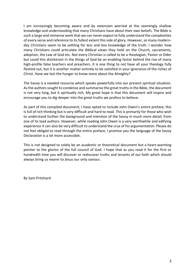I am increasingly becoming aware and by extension worried at the seemingly shallow knowledge and understanding that many Christians have about their own beliefs. The Bible is such a large and immense work that we can never expect to fully understand the complexities of every verse and reference to its fullest extent this side of glory. However, so many modernday Christians seem to be settling for less and less knowledge of the truth. I wonder how many Christians could articulate the Biblical views they hold on the Church, sacraments, adoption, the Law of God etc. Not every Christian is called to be a theologian, Pastor or Elder but could this disinterest in the things of God be an enabling factor behind the rise of many high-profile false teachers and preachers. It is one thing to not have all your theology fully fleshed out, but it is another matter entirely to be satisfied in your ignorance of the riches of Christ. Have we lost the hunger to know more about the Almighty?

The Savoy is a needed resource which speaks powerfully into our present spiritual situation. As the authors sought to condense and summarise the great truths in the Bible, the document is not very long, but it spiritually rich. My great hope is that this document will inspire and encourage you to dig deeper into the great truths we profess to believe.

As part of this compiled document, I have opted to include John Owen's entire preface; this is full of rich thinking but is very difficult and hard to read. This is primarily for those who wish to understand further the background and intention of the Savoy in much more detail, from one of its lead authors. However, while reading John Owen is a very worthwhile and edifying experience it can also be very difficult to understand the crux of his argumentation. Please do not feel obliged to read through the entire preface, I promise you the language of the Savoy Declaration is a lot more accessible.

This is not designed to solely be an academic or theoretical document but a heart-warming pointer to the glories of the full council of God. I hope that as you read it for the first or hundredth time you will discover or rediscover truths and tenants of our faith which should always bring us nearer to Jesus our only saviour.

By Sam Pritchard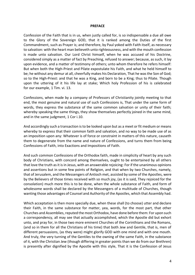#### **PREFACE**

Confession of the Faith that is in us, when justly called for, is so indispensable a due all owe to the Glory of the Sovereign GOD, that it is ranked among the Duties of the first Commandment, such as Prayer is; and therefore, by Paul yoked with Faith itself, as necessary to salvation: with the heart man believeth unto righteousness, and with the mouth confession is made unto salvation. Our Lord Christ himself, when he was accused of his Doctrine, considered simply as a matter of fact by Preaching, refused to answer; because, as such, it lay upon evidence, and a matter of testimony of others; unto whom therefore he refers himself: But when both the High-Priest and Pilate expostulate his Faith, and what he held himself to be; he without any demur at all, cheerfully makes his Declaration, That he was the Son of God; so to the High-Priest: and that he was a King, and born to be a King; thus to Pilate. Though upon the uttering of it his life lay at stake; Which holy Profession of his is celebrated for our example, 1 Tim. vi. 13.

Confessions, when made by a company of Professors of Christianity jointly meeting to that end, the most genuine and natural use of such Confessions is, That under the same form of words, they express the substance of the same common salvation or unity of their faith; whereby speaking the same things, they show themselves perfectly joined in the same mind, and in the same judgment, 1 Cor i.10.

And accordingly such a transaction is to be looked upon but as a meet or fit medium or means whereby to express that their common faith and salvation, and no way to be made use of as an imposition upon any: Whatever is of force or constraint in matters of this nature, causeth them to degenerate from the name and nature of Confessions, and turns them from being Confessions of Faith, into Exactions and Impositions of Faith.

And such common Confessions of the Orthodox faith, made in simplicity of heart by any such body of Christians, with concord among themselves, ought to be entertained by all others that love the truth as it is in Jesus, with an answerable rejoicing: For if the unanimous opinions and assertions but in some few points of Religion, and that when by two Churches, namely, that of Jerusalem, and the Messengers of Antioch met, assisted by some of the Apostles, were by the Believers of those times received with so much joy, (as it is said, They rejoiced for the consolation) much more this is to be done, when the whole substance of Faith, and form of wholesome words shall be declared by the Messengers of a multitude of Churches, though wanting those advantages of Counsel and Authority of the Apostles, which that Assembly had.

Which acceptation is then more specially due, when these shall (to choose) utter and declare their Faith, in the same substance for matter, yea, words, for the most part, that other Churches and Assemblies, reputed the most Orthodox, have done before them: For upon such a correspondency, all may see that actually accomplished, which the Apostle did but exhort unto, and pray for, in those two more eminent Churches of the Corinthians and the Romans, (and so in them for all the Christians of his time) that both Jew and Gentile, that is, men of different persuasions, (as they were) might glorify GOD with one mind and with one mouth. And truly, the very turning of the Gentiles to the owning of the same Faith, in the substance of it, with the Christian Jew (though differing in greater points than we do from our Brethren) is presently after dignified by the Apostle with this style, That it is the Confession of Jesus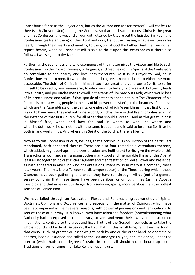Christ himself; not as the Object only, but as the Author and Maker thereof: I will confess to thee (saith Christ to God) among the Gentiles. So that in all such accords, Christ is the great and first Confessor; and we, and all our Faith uttered by Us, are but the Epistles, (as Paul) and Confessions (as Isaiah there) of their Lord and ours; He, but expressing what is written in his heart, through their hearts and mouths, to the glory of God the Father: And shall we not all rejoice herein, when as Christ himself is said to do it upon this occasion: as it there also follows, I will sing unto thy Name.

Further, as the soundness and wholesomeness of the matter gives the vigour and life to such Confessions, so the inward freeness, willingness, and readiness of the Spirits of the Confessors do contribute to the beauty and loveliness thereunto: As it is in Prayer to God, so in Confessions made to men. If two or three met, do agree, it renders both, to either the more acceptable. The Spirit of Christ is in himself too free, great and generous a Spirit, to suffer himself to be used by any human arm, to whip men into belief; he drives not, but gently leads into all truth, and persuades men to dwell in the tents of like precious Faith; which would lose of its preciousness and value, if that sparkle of freeness shone not in it: The Character of his People, is to be a willing people in the day of his power (not Man's) in the beauties of holiness, which are the Assemblings of the Saints: one glory of which Assemblings in that first Church, is said to have been, They met with one accord; which is there in that Psalm prophesied of, in the instance of that first Church, for all other that should succeed. And as this great Spirit is in himself free, when, and how far, and in whom to work, so where and when he doth work, he carrieth it with the same freedom, and is said to be a free Spirit, as he both is, and works in us: And where this Spirit of the Lord is, there is liberty.

Now as to this Confession of ours, besides, that a conspicuous conjunction of the particulars mentioned, hath appeared therein: There are also four remarkable Attendants thereon, which added, might perhaps in the eyes of sober and indifferent Spirits, give the whole of this Transaction a room and rank amongst other many good and memorable things of this Age; at least all set together, do cast as clear a gleam and manifestation of God's Power and Presence, as hath appeared in any such kind of Confessions, made by so numerous a company these later years. The first, is the Temper (or distemper rather) of the Times, during which, these Churches have been gathering, and which they have run through. All do (out of a general sense) complain that these times have been perilous, or difficult times (as the Apostle foretold); and that in respect to danger from seducing spirits, more perilous than the hottest seasons of Persecution.

We have failed through an Aestivation, Fluxes and Refluxes of great varieties of Spirits, Doctrines, Opinions and Occurrences, and especially in the matter of Opinions, which have been accompanied in their several seasons, with powerful persuasions and temptations, to seduce those of our way. It is known, men have taken the freedom (notwithstanding what Authority hath interposed to the contrary) to vent and vend their own vain and accursed imaginations, contrary to the great and fixed Truths of the Gospel, insomuch, as to take the whole Round and Circle of Delusions, the Devil hath in this small time, ran; it will be found, that every Truth, of greater or lesser weight, hath by one or the other hand, at one time or another, been questioned and called to the Bar amongst us, yea, and impleaded, under the pretext (which hath some degree of Justice in it) that all should not be bound up to the Traditions of former times, nor take Religion upon trust.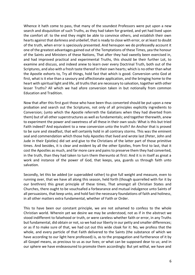Whence it hath come to pass, that many of the soundest Professors were put upon a new search and disquisition of such Truths, as they had taken for granted, and yet had lived upon the comfort of: to the end they might be able to convince others, and establish their own hearts against that darkness and unbelief, that is ready to close with error, or at least to doubt of the truth, when error is speciously presented. And hereupon we do professedly account it one of the greatest advantages gained out of the Temptations of these Times, yea the honour of the Saints and Ministers of these Nations, That after they had sweetly been exercised in, and had improved practical and experimental Truths, this should be their further Lot, to examine and discuss, and indeed anew to learn over every Doctrinal Truth, both out of the Scriptures, and also with a fresh taste thereof in their own hearts; which is no other than what the Apostle exhorts to, Try all things, hold fast that which is good. Conversion unto God at first, what is it else than a savoury and affectionate application, and the bringing home to the heart with spiritual light and life, all truths that are necessary to salvation, together with other lesser Truths? All which we had afore conversion taken in but notionally from common Education and Tradition.

Now that after this first gust those who have been thus converted should be put upon a new probation and search out the Scriptures, not only of all principles explicitly ingredients to Conversion; (unto which the Apostle referreth the Galatians when they had diverted from them) but of all other superstructures as well as fundamentals; and together therewith, anew to experiment the power and sweetness of all these in their own souls: What is this but tried Faith indeed? And equivalent to a new conversion unto the truth? An Anchor that is proved to be sure and steadfast, that will certainly hold in all contrary storms. This was the eminent seal and commendation which those holy Apostles that lived and wrote last (Peter, John and Jude in their Epistles) did set and give to the Christians of the latter part of those primitive times. And besides, it is clear and evident by all the other Epistles, from first to last, that it cost the Apostles as much, and far more care and pains to preserve them they had converted, in the truth, than they had taken to turn them thereunto at first: And it is in itself as great a work and instance of the power of God, that keeps, yea, guards us through faith unto salvation.

Secondly, let this be added (or superadded rather) to give full weight and measure, even to running over, that we have all along this season, held forth (though quarrelled with for it by our brethren) this great principle of these times, That amongst all Christian States and Churches, there ought to be vouchsafed a forbearance and mutual indulgence unto Saints of all persuasions, that keep unto, and hold fast the necessary foundations of faith and holiness, in all other matters extra fundamental, whether of Faith or Order.

This to have been our constant principle, we are not ashamed to confess to the whole Christian world. Wherein yet we desire we may be understood, not as if in the abstract we stood indifferent to falsehood or truth, or were careless whether faith or error, in any Truths but fundamental, did obtain or not, so we had our liberty in our petty and smaller differences; or as if to make sure of that, we had cut out this wide cloak for it: No, we profess that the whole, and every particle of that Faith delivered to the Saints (the substance of which we have according to our light here professed) is, as to the propagation and furtherance of it by all Gospel means, as precious to us as our lives; or what can be supposed dear to us; and in our sphere we have endeavoured to promote them accordingly: But yet withal, we have and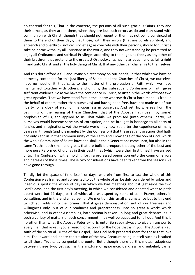do contend for this, That in the concrete, the persons of all such gracious Saints, they and their errors, as they are in them, when they are but such errors as do and may stand with communion with Christ, though they should not repent of them, as not being convinced of them to the end of their days; that those, with their errors (that are purely spiritual, and entrench and overthrow not civil societies,) as concrete with their persons, should for Christ's sake be borne withal by all Christians in the world; and they notwithstanding be permitted to enjoy all Ordinances and spiritual Privileges according to their light, as freely as any other of their brethren that pretend to the greatest Orthodoxy; as having as equal, and as fair a right in and unto Christ, and all the holy things of Christ, that any other can challenge to themselves.

And this doth afford a full and invincible testimony on our behalf, in that whiles we have so earnestly contended for this just liberty of Saints in all the Churches of Christ, we ourselves have no need of it: that is, as to the matter of the profession of Faith which we have maintained together with others: and of this, this subsequent Confession of Faith gives sufficient evidence. So as we have the confidence in Christ, to utter in the words of those two great Apostles, That we have stood fast in the liberty wherewith Christ hath made us free (in the behalf of others, rather than ourselves) and having been free, have not made use of our liberty for a cloak of error or maliciousness in ourselves. And yet, lo, whereas from the beginning of the rearing of these Churches, that of the Apostle hath been (by some) prophesied of us, and applied to us, That while we promised (unto others) liberty, we ourselves would become servants of corruption, and be brought in bondage to all sorts of fancies and imaginations, yet the whole world may now see after the experience of many years ran through (and it is manifest by this Confession) that the great and gracious God hath not only kept us in that common unity of the Faith and Knowledge of the Son of God, which the whole Community of Saints have and shall in their Generations come unto, but also in the same Truths, both small and great, that are built thereupon, that any other of the best and more pure Reformed Churches in their best times (which were their first times) have arrived unto: This Confession withal holding forth a professed opposition unto the common errors and heresies of these times. These two considerations have been taken from the seasons we have gone through.

Thirdly, let the space of time itself, or days, wherein from first to last the whole of this Confession was framed and consented to by the whole of us, be duly considered by sober and ingenious spirits: the whole of days in which we had meetings about it (set aside the two Lord's days, and the first day's meeting, in which we considered and debated what to pitch upon) were but 11 days, part of which also was spent by some of us in Prayer, others in consulting; and in the end all agreeing. We mention this small circumstance but to this end (which still adds unto the former) That it gives demonstration, not of our freeness and willingness only, but of our readiness and preparedness unto so great a work; which otherwise, and in other Assemblies, hath ordinarily taken up long and great debates, as in such a variety of matters of such concernment, may well be supposed to fall out. And this is no other than what the Apostle Peter exhorts unto, Be ready always to give an answer to every man that asketh you a reason, or account of the hope that is in you. The Apostle Paul saith of the spiritual Truths of the Gospel, That God hath prepared them for those that love him. The inward and innate constitution of the new Creature being in itself such as is suited to all those Truths, as congenial thereunto: But although there be this mutual adaptness between these two, yet such is the mixture of ignorance, darkness and unbelief, carnal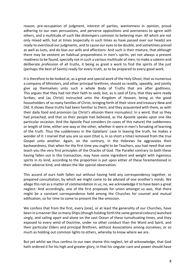reason, pre-occupation of judgment, interest of parties, wantonness in opinion, proud adhering to our own persuasions, and perverse oppositions and averseness to agree with others, and a multitude of such like distempers common to believing man: All which are not only mixed with, but at times (especially in such times as have passed over our heads) are ready to overcloud our judgments, and to cause our eyes to be double, and sometimes prevail as well as lusts, and do bias our wills and affections: And such is their mixture, that although there may be existent an habitual preparedness in men's spirits, yet not always a present readiness to be found, specially not in such a various multitude of men, to make a solemn and deliberate profession of all truths, it being as great a work to find the spirits of the just (perhaps the best of Saints) ready for every truth, as to be prepared to every good work.

It is therefore to be looked at, as a great and special work of the Holy Ghost, that so numerous a company of Ministers, and other principal brethren, should so readily, speedily, and jointly give up themselves unto such a whole Body of Truths that are after godliness. This argues that they had not their faith to seek; but, as is said of Ezra, that they were ready Scribes, and (as Christ) instructed unto the Kingdom of Heaven, being as the good householders of so many families of Christ, bringing forth of their store and treasury New and Old. It shows these truths had been familiar to them, and they acquainted with them, as with their daily food and provision (as Christ's allusion there insinuates): In a word, that so they had preached, and that so their people had believed, as the Apostle speaks upon one like particular occasion. And the Apostle Paul considers (in cases of this nature) the suddenness or length of time, either one way or the other, whether it were in men's forsaking of learning of the truth. Thus the suddenness in the Galatians' case in leaving the truth, he makes a wonder of it: I marvel that you are so soon (that is, in so short a time) removed from the true Gospel unto another. Again, on the contrary, in the Hebrews he aggravates their backwardness, that when for the first time you ought to be Teachers, you had need that one teach you the very first principles of the Oracles of God. The Parallel contrary to both these having fallen out in this transaction, may have some ingredient and weight with ingenious spirits in its kind, according to the proportion is put upon either of these forementioned in their adverse kind, and obtain the like special observation.

This accord of ours hath fallen out without having held any correspondency together, or prepared consultation, by which we might come to be advised of one another's minds. We allege this not as a matter of commendation in us; no, we acknowledge it to have been a great neglect: And accordingly, one of the first proposals for union amongst us was, that there might be a constant correspondence held among the Churches for counsel and mutual edification, so for time to come to present the like omission.

We confess that from the first, every [one], or at least the generality of our Churches, have been in a manner like so many Ships (though holding forth the same general colours) launched singly, and sailing apart and alone on the vast Ocean of these tumultuating times, and they exposed to every wind of Doctrine, under no other conduct than the Word and Spirit, and their particular Elders and principal Brethren, without Associations among ourselves, or so much as holding out common lights to others, whereby to know where we are.

But yet whilst we thus confess to our own shame this neglect, let all acknowledge, that God hath ordered it for his high and greater glory, in that his singular care and power should have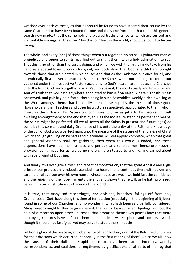watched over each of these, as that all should be found to have steered their course by the same Chart, and to have been bound for one and the same Port, and that upon this general search now made, that the same holy and blessed truths of all sorts, which are current and warrantable amongst all the other Churches of Christ in the world, should be found to be our Lading.

The whole, and every [one] of these things when put together, do cause us (whatever men of prejudiced and opposite spirits may find out to slight them) with a holy admiration, to say, That this is no other than the Lord's doing; and which we with thanksgiving do take from his hand as a special token upon us for good, and doth show that God is faithful and upright towards those that are planted in his house: And that as the Faith was but once for all, and intentionally first delivered unto the Saints; so the Saints, when not abiding scattered, but gathered under their respective Pastors according to God's heart into an house, and Churches unto the living God, such together are, as Paul forspake it, the most steady and firm pillar and seat of Truth that God hath anywhere appointed to himself on earth, where his truth is best conserved, and publicly held forth; there being in such Assemblies weekly a rich dwelling of the Word amongst them, that is, a daily open house kept by the means of those good Householders, their Teachers and other Instructors respectively appropriated to them, whom Christ in the virtue of his Ascension, continues to give as gifts to his people, himself dwelling amongst them; to the end that by this, as the most sure standing permanent means, the Saints might be perfected, till we all (even all the Saints in present and future ages) do come by this constant and daily Ordinance of his unto the unity of the Faith and Knowledge of the Son of God unto a perfect man, unto the measure of the stature of the fullness of Christ (which though growing on by parts and piecemeal, will yet appear complete, when that great and general Assembly shall be gathered, then when this world is ended, and these dispensations have had their fullness and period) and so that from henceforth (such a provision being made for us) we be no more children tossed to and fro, and carried about with every wind of Doctrine.

And finally, this doth give a fresh and recent demonstration, that the great Apostle and Highpriest of our profession is indeed ascended into heaven, and continues there with power and care, faithful as a son over his own house, whose house are we, if we hold fast the confidence and the rejoicing of the hope firm unto the end: and shows that he will, as he hath promised, be with his own Institutions to the end of the world.

It is true, that many sad miscarriages, and divisions, breeches, fallings off from holy Ordinances of God, have along this time of temptation (especially in the beginning of it) been found in some of our Churches; and no wonder, if what hath been said be fully considered: Many reasons might further be given hereof, that would be a sufficient Apology, without the help of a retortion upon other Churches (that promised themselves peace) how that more destroying ruptures have befallen them, and that in a wider sphere and compass; which though it should not justify us, yet may serve to stop others' mouths.

Let Rome glory of the peace in, and obedience of her Children, against the Reformed Churches for their divisions which occurred (especially in the first rearing of them) whilst we all know the causes of their dull and stupid peace to have been carnal interests, worldly correspondencies, and coalitions, strengthened by gratifications of all sorts of men by that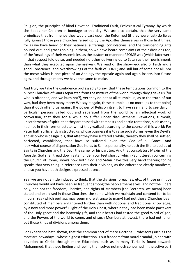Religion, the principles of blind Devotion, Traditional Faith, Ecclesiastical Tyranny, by which she keeps her Children in bondage to this day. We are also certain, that the very same prejudices that from hence they would cast upon the Reformed (if they were just) do lie as fully against those pure Churches raised up by the Apostles themselves in those first times: for as we have heard of their patience, sufferings, consolations, and the transcending gifts poured out, and graces shining in them, so we have heard complaints of their divisions too, of the forsakings of their Assemblies, as the custom or manner of SOME was (which later were in that respect felo de se, and needed no other delivering up to Satan as their punishment, than what they executed upon themselves). We read of the shipwreck also of Faith and a good Conscience, and overthrowings of the faith of SOME; and still but of some not all, nor the most: which is one piece of an Apology the Apostle again and again inserts into future ages, and through mercy we have the same to make.

And truly we take the confidence professedly to say, that these temptations common to the purest Churches of Saints separated from the mixture of the world, though they grieve us (for who is offended, and we burn not?), yet they do not at all stumble us, as to the truth of our way, had they been many more: We say it again, these stumble us no more (as to that point) than it doth offend us against the power of Religion itself, to have seen, and to see daily in particular persons called out and separated from the world by an effectual work of conversion, that they for a while do suffer under disquietments, vexations, turmoils, unsettlements of spirit, that they are tossed with tempests and horrid tentations, such as they had not in their former estate, whilst they walked according to the course of this world: For Peter hath sufficiently instructed us whose business it is to raise such storms, even the Devil's; and also whose design it is, that after they have suffered a while, thereby they shall be settled, perfected, established, that have so suffered, even the God of all Grace. And look what course of dispensation God holds to Saints personally, he doth the like to bodies of Saints in Churches and the Devil the same for his part too: And that consolatory Maxim of the Apostle, God shall tread down Satan under your feet shortly, which Paul uttereth concerning the Church of Rome, shows how both God and Satan have this very hand therein; for he speaks that very thing in reference unto their divisions, as the coherence clearly manifests; and so you have both designs expressed at once.

Yea, we are not a little induced to think, that the divisions, breaches, etc., of those primitive Churches would not have been so frequent among the people themselves, and not the Elders only, had not the freedom, liberties, and rights of Members (the Brethren, we mean) been stated and exercised in those Churches, the same which we maintain and contend for to be in ours. Yea (which perhaps may seem more strange to many) had not those Churches been constituted of members enlightened further than with notional and traditional knowledge, by a new and more powerful light of the Holy Ghost, wherein they had been made partakers of the Holy ghost and the heavenly gift, and their hearts had tasted the good Word of god, and the Powers of the world to come, and of such Members at lowest, there had not fallen out those kinds of divisions among them.

For Experience hath shown, that the common sort of mere Doctrinal Professors (such as the most are nowadays), whose highest education is but freedom from moral scandal, joined with devotion to Christ through mere Education, such as in many Turks is found towards Mohammed, that these finding and feeling themselves not much concerned in the active part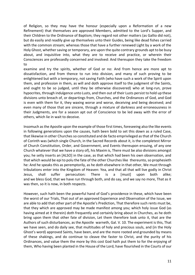of Religion, so they may have the honour (especially upon a Reformation of a new Refinement) that themselves are approved Members, admitted to the Lord's Supper, and their Children to the Ordinance of Baptism; they regard not other matters (as Gallio did not), but do easily and readily give up themselves unto their Guides, being like dead fishes carried with the common stream; whereas those that have a further renewed Light by a work of the Holy Ghost, whether saving or temporary, are upon the quite contrary grounds apt to be busy about, and inquisitive into, what they are to receive and practice, or wherein their Consciences are professedly concerned and involved: And thereupon they take the freedom to

examine and try the spirits, whether of God or no: And from hence are more apt to dissatisfaction, and from thence to run into division, and many of such proving to be enlightened but with a temporary, not saving Faith (who have such a work of the Spirit upon them, and profession in them, as will and doth approve itself to the judgment of the Saints, and ought to be so judged, until they be otherwise discovered) who at long-run, prove hypocrites, through indulgence unto Lusts, and then out of their Lusts persist to hold up these divisions unto breach of, or departings from, Churches, and the Ordinances of God, and God is even with them for it, they waxing worse and worse, deceiving and being deceived; and even many of those that are sincere, through a mixture of darkness and erroneousness in their Judgments, are for a season apt out of Conscience to be led away with the error of others, which lie in wait to deceive.

Insomuch as the Apostle upon the example of those first times, foreseeing also the like events in following generations upon the causes, hath been bold to set this down as a ruled Case, that likewise in other Churches so constituted and de facto emprivileged as that of the Church of Corinth was (which single Church, in the Sacred Records about it, is the completest Mirror of Church Constitution, Order, and Government, and Events thereupon ensuing, of any one Church whatever that we have a story of), his Maxim is, There must be also divisions amongst you; he setly inserts an [ALSO] in the case, as that which had been his own observation, and that which would be epi to polu the fate of the other Churches like thereunto, so prophesieth he: And he speaks this as peremptorily, as he doth elsewhere in that other, We must through tribulations enter into the Kingdom of Heaven: Yea, and that all that will live godly in Christ Jesus, shall suffer persecution: There is a [must] upon both alike; and we bless God, that we have run through both, and do say, and we say no more, That as it was then, so it is now, in both respects.

However, such hath been the powerful hand of God's providence in these, which have been the worst of our Trials, That out of an approved Experience and Observation of the Issue, we are able to add that other part of the Apostle's Prediction, That therefore such rents must be, that they which are approved may be made manifest among you; which holy issue God (as having aimed at it therein) doth frequently and certainly bring about in Churches, as he doth bring upon them that other fate of division, Let them therefore look unto it, that are the Authors of such disturbances, as the Apostle warneth, Gal. V. 10. The experiment is this, That we have seen, and do daily see, that multitudes of holy and precious souls, and (in the Holy Ghost's word) approved Saints, have been, and are the more rooted and grounded by means of these shakings, and do continue to cleave the faster to Christ, and the purity of his Ordinances, and value them the more by this cost God hath put them to for the enjoying of them, Who having been planted in the House of the Lord, have flourished in the Courts of our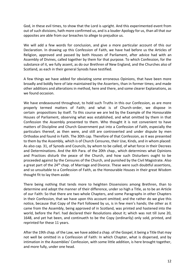God, in these evil times, to show that the Lord is upright. And this experimented event from out of such divisions, hath more confirmed us, and is a louder Apology for us, than all that our opposites are able from our breaches to allege to prejudice us.

We will add a few words for conclusion, and give a more particular account of this our Declaration. In drawing up this Confession of Faith, we have had before us the Articles of Religion, approved and passed by both Houses of Parliament, after advice had with an Assembly of Divines, called together by them for that purpose. To which Confession, for the substance of it, we fully assent, as do our Brethren of New England, and the Churches also of Scotland, as each in their general Synods have testified.

A few things we have added for obviating some erroneous Opinions, that have been more broadly and boldly here of late maintained by the Asserters, than in former times; and made other additions and alterations in method, here and there, and some clearer Explanations, as we found occasion.

We have endeavoured throughout, to hold such Truths in this our Confession, as are more properly termed matters of Faith; and what is of Church-order, we dispose in certain propositions by itself. To this course we are led by the Example of the Honourable Houses of Parliament, observing what was established, and what omitted by them in that Confession the Assembly presented to them. Who thought it is not convenient to have matters of Discipline and Church Government put into a Confession of Faith, especially the particulars thereof, as then were, and still are controverted and under dispute by men Orthodox and found in Faith. The 30th cap. Therefore of that Confession, as it was presented to them by the Assembly, which is of Church Censures, their Use, Kinds, and in whom placed: As also cap. 31, of Synods and Councils, by whom to be called, of what force in their Decrees and Determinations. And the 4th Para. of the 20th chap., which determines what Opinions and Practices disturb the peace of the Church, and how such Disturbers ought to be proceeded against by the Censures of the Church, and punished by the Civil Magistrate. Also a great part of the  $24<sup>th</sup>$  chap. of Marriage and Divorce. These were such doubtful assertions, and so unsuitable to a Confession of Faith, as the Honourable Houses in their great Wisdom thought fit to lay them aside:

There being nothing that tends more to heighten Dissensions among Brethren, than to determine and adopt the manner of their difference, under so high a Title, as to be an Article of our Faith: So that there are two whole Chapters, and some Paragraphs in other Chapters in their Confession, that we have upon this account omitted; and the rather do we give this notice, because that Copy of the Part followed by us, is in few men's hands; the other as it came from the Assembly, being approved of in Scotland, was printed and hastened into the world, before the Parl. had declared their Resolutions about it; which was not till June 20, 1648, and yet hat been, and continueth to be the Copy (ordinarily) only sold, printed, and reprinted for these 11 years.

After the 19th chap. of the Law, we have added a chap. of the Gospel, it being a Title that may not well be omitted in a Confession of Faith: In which Chapter, what is dispersed, and by intimation in the Assemblies' Confession, with some little addition, is here brought together, and more fully, under one head.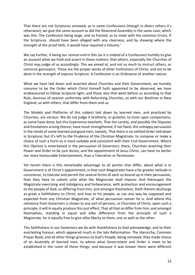That there are not Scriptures annexed, as in some Confessions (though in divers others it's otherwise), we give the same account as did the Reverend Assembly in the same case; which was this: The Confession being large, and so framed, as to meet with the common Errors, If the Scriptures should have been alleged with any clearness, and by showing where the strength of the proof lieth, it would have required a Volume.'

We say further, it being our utmost end in this (as it is indeed of a Confession) humbly to give an account what we hold and assert in these matters; that others, especially the Churches of Christ may judge of us accordingly: This we aimed at, and not so much to instruct others, or convince gainsayers. These are the proper works of other Institutions of Christ, and are to be done in the strength of express Scripture. A Confession is an Ordinance of another nature.

What we have laid down and asserted about Churches and their Government, we humbly conceive to be the Order which Christ himself hath appointed to be observed, we have endeavoured to follow Scripture light; and those also that went before us according to that Rule, desirous of nearest uniformity with Reforming Churches, as with our Brethren in New England, so with others, that differ from them and us.

The Models and Platforms of this subject laid down by learned men, and practiced by Churches, are various: We do not judge it brotherly, or grateful, to insist upon comparisons, as some have done; but this Experience teacheth, That the variety, and possibly the Disputes and Emulations arising thence, have much strengthened, if not fixed, this unhappy persuasion in the minds of some learned and good men, namely, That there is no settled Order laid down in Scripture; but it's left to the Prudence of the Christian Magistrate, to compose or make a choice of such a Form as is most suitable and consistent with their Civil Government. Where this Opinion is entertained in the persuasion of Governors, there, Churches asserting their Power and Order to be jure divino, and the appointment of Jesus Christ, can have no better nor more honourable Entertainment, than a Toleration or Permission.

Yet herein there is this remarkable advantage to all parties that differ, about what is in Government is of Christ's appointment; in that such Magistrates have a far greater latitude in conscience, to tolerate and permit the several forms of each so bound up in their persuasion, than they have to submit unto what the Magistrate shall impose: And thereupon the Magistrate exercising and indulgency and forbearance, with protection and encouragement to the people of God, so differing from him, and amongst themselves: Doth therein discharge as great a faithfulness to Christ, and love to his people, as can any way be supposed and expected from any Christian Magistrate, of what persuasion soever he is. And where this clemency from Governors is shown to any sort of persons, or Churches of Christ, upon such a principle, it will in equity produce this just effect, That all that so differ from him, and amongst themselves, standing in equal and alike difference from the principle of such a Magistrate, he is equally free to give alike liberty to them, one as well as the other.

This faithfulness in our Governors we do with thankfulness to God acknowledge, and to their everlasting honour, which appeared much in the late Reformation. The Hierarchy, Common Prayer Book, and all other things grievous to God's People, being removed, they made choice of an Assembly of learned men, to advise what Government and Order is meet to be established in the room of these things; and because it was known there were different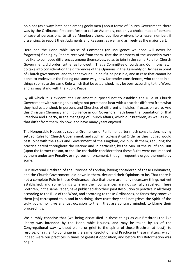opinions (as always hath been among godly men ) about forms of Church Government, there was by the Ordinance first sent forth to call an Assembly, not only a choice made of persons of several persuasions, to sit as Members there, but liberty given, to a lesser number, if dissenting, to report their Judgments and Reasons, as well and as freely as the major part.

Hereupon the Honourable House of Commons (an Indulgence we hope will never be forgotten) finding by Papers received from them, that the Members of the Assembly were not like to compose differences among themselves, so as to join in the same Rule for Church Government, did order further as followeth: That a Committee of Lords and Commons, etc., do take into consideration the differences of the Opinions in the Assembly of Divines in point of Church government, and to endeavour a union if it be possible; and in case that cannot be done, to endeavour the finding out some way, how far tender consciences, who cannot in all things submit to the same Rule which that be established, may be born according to the Word, and as may stand with the Public Peace.

By all which it is evident, the Parliament purposed not to establish the Rule of Church Government with such rigor, as might not permit and bear with a practice different from what they had established: In persons and Churches of different principles, if occasion were. And this Christian Clemency and indulgence in our Governors, hath been the foundation of that Freedom and Liberty, in the managing of Church affairs, which our Brethren, as well as WE, that differ from them, do now, and have many years enjoyed.

The Honourable Houses by several Ordinances of Parliament after much consultation, having settled Rules for Church Government, and such an Ecclesiastical Order as they judged would best joint with the Laws and Government of the Kingdom, did publish them, requiring the practice hereof throughout the Nation: and in particular, by the Min. of the Pr. of Lon. But (upon the former reason, or the like charitable consideration) these Rules were not imposed by them under any Penalty, or rigorous enforcement, though frequently urged thereunto by some.

Our Reverend Brethren of the Province of London, having considered of these Ordinances, and the Church Government laid down in them, declared their Opinions to be, That there is not a complete Rule in those Ordinances; also that there are many necessary things not yet established, and some things wherein their consciences are not so fully satisfied. These Brethren, in the same Paper, have published also their joint Resolution to practice in all things according to the Rule of the Word, and according to these Ordinances, so far as they conceive them [to] correspond to it, and in so doing, they trust they shall not grieve the Spirit of the truly godly, nor give any just occasion to them that are contrary minded, to blame their proceedings.

We humbly conceive that (we being dissatisfied in these things as our Brethren) the like liberty was intended by the Honourable Houses, and may be taken by us of the Congregational way (without blame or grief to the spirits of those Brethren at least), to resolve, or rather to continue in the same Resolution and Practice in these matters, which indeed were our practices in times of greatest opposition, and before this Reformation was begun.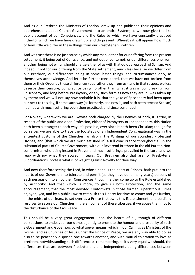And as our Brethren the Ministers of London, drew up and published their opinions and apprehensions about Church Government into an entire System; so we now give the like public account of our Consciences, and the Rules by which we have constantly practiced hitherto; which we have here drawn up, and do present. Whereby it will appear how much or how little we differ in these things from our Presbyterian Brethren.

And we trust there is no just cause by which any man, either for our differing from the present settlement, it being out of Conscience, and not out of contempt, or our differences one from another, being not wilful, should charge either of us with that odious reproach of Schism. And indeed, if not for our differing from the State settlement, much less because we differ from our Brethren, our differences being in some lesser things, and circumstances only, as themselves acknowledge. And let it be further considered, that we have not broken from them or their Order by these differences (but rather they from us), and in that respect we less deserve their censure; our practice being no other than what it was in our breaking from Episcopacy, and long before Presbytery, or any such form as now they are in, was taken up by them; and we will not say how probable it is, that the yoke of Episcopacy had been upon our neck to this day, if some such way (as formerly, and now is, and hath been termed Schism) had not with much suffering been then practiced, and since continued in.

For Novelty wherewith we are likewise both charged by the Enemies of both, it is true, in respect of the public and open Profession, either of Presbytery or Independency, this Nation hath been a stranger to each way, it's possible, ever since it hath been Christian; though for ourselves we are able to trace the footsteps of an Independent Congregational way in the ancientest customs of the Churches; as also in the Writings of our soundest Protestant Divines, and (that which we are much satisfied in) a full concurrence throughout all in the substantial parts of Church Government, with our Reverend Brethren in the old Puritan Nonconformists, who being instant in Prayer and much sufferings, prevailed in the Lord, and we reap with joy what they sowed in tears. Our Brethren also that are for Presbyterial Subordinations, profess what is of weight against Novelty for their way.

And now therefore seeing the Lord, in whose hand is the heart of Princes, hath put into the hearts of our Governors, to tolerate and permit (as they have done many years) persons of each persuasion, to enjoy their Consciences, though neither come up to the Rule established by Authority: And that which is more, to give us both Protection, and the same encouragement, that the most devoted Conformists in those former Superstitious Times enjoyed; yea, and by a public Law to establish this Liberty for time to come; and yet further, in the midst of our fears, to set over us a Prince that owns this Establishment, and cordially resolves to secure our Churches in the enjoyment of these Liberties, if we abuse them not to the disturbance of the Civil Peace.

This should be a very great engagement upon the hearts of all, though of different persuasions, to endeavour our utmost, jointly to promote the honour and prosperity of such a Government and Governors by whatsoever means, which in our Callings as Ministers of the Gospel, and as Churches of Jesus Christ the Prince of Peace, we are any way able to do; as also to be peaceably disposed one towards another, and with mutual toleration to love as brethren, notwithstanding such differences: remembering, as it's very equal we should, the differences that are between Presbyterians and Independents being differences between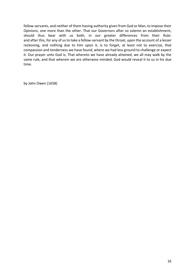fellow-servants, and neither of them having authority given from God or Man, to impose their Opinions, one more than the other. That our Governors after so solemn an establishment, should thus bear with us both, in our greater differences from their Rule: and after this, for any of us to take a fellow-servant by the throat, upon the account of a lesser reckoning, and nothing due to him upon it, is to forget, at least not to exercise, that compassion and tenderness we have found, where we had less ground to challenge or expect it. Our prayer unto God is, That whereto we have already attained, we all may walk by the same rule, and that wherein we are otherwise minded, God would reveal it to us in his due time.

by John Owen (1658)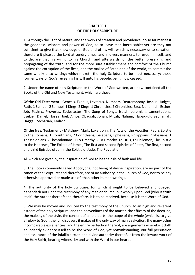#### **CHAPTER 1 OF THE HOLY SCRIPTURE**

1. Although the light of nature, and the works of creation and providence, do so far manifest the goodness, wisdom and power of God, as to leave men inexcusable; yet are they not sufficient to give that knowledge of God and of his will, which is necessary unto salvation: therefore it pleased the Lord at sundry times, and in divers manners, to reveal himself, and to declare that his will unto his Church; and afterwards for the better preserving and propagating of the truth, and for the more sure establishment and comfort of the Church against the corruption of the flesh, and the malice of Satan and of the world, to commit the same wholly unto writing: which maketh the holy Scripture to be most necessary; those former ways of God's revealing his will unto his people, being now ceased.

2. Under the name of holy Scripture, or the Word of God written, are now contained all the Books of the Old and New Testament, which are these:

**Of the Old Testament -** Genesis, Exodus, Leviticus, Numbers, Deuteronomy, Joshua, Judges, Ruth, 1 Samuel, 2 Samuel, 1 Kings, 2 Kings, 1 Chronicles, 2 Chronicles, Ezra, Nehemiah, Esther, Job, Psalms, Proverbs, Ecclesiastes, The Song of Songs, Isaiah, Jeremiah, Lamentations, Ezekiel, Daniel, Hosea, Joel, Amos, Obadiah, Jonah, Micah, Nahum, Habakkuk, Zephaniah, Haggai, Zechariah, Malachi.

**Of the New Testament -** Matthew, Mark, Luke, John, The Acts of the Apostles, Paul's Epistle to the Romans, 1 Corinthians, 2 Corinthians, Galatians, Ephesians, Philippians, Colossians, 1 Thessalonians, 2 Thessalonians. 1 To Timothy, 2 To Timothy, To Titus, To Philemon, The Epistle to the Hebrews, The Epistle of James, The first and second Epistles of Peter, The first, second and third Epistles of John, the Epistle of Jude, The Revelation.

All which are given by the inspiration of God to be the rule of faith and life.

3. The Books commonly called Apocrypha, not being of divine inspiration, are no part of the canon of the Scripture; and therefore, are of no authority in the Church of God, nor to be any otherwise approved or made use of, than other human writings.

4. The authority of the holy Scripture, for which it ought to be believed and obeyed, dependeth not upon the testimony of any man or church; but wholly upon God (who is truth itself) the Author thereof: and therefore, it is to be received, because it is the Word of God.

5. We may be moved and induced by the testimony of the Church, to an high and reverent esteem of the holy Scripture; and the heavenliness of the matter, the efficacy of the doctrine, the majesty of the style, the consent of all the parts, the scope of the whole (which is, to give all glory to God), the full discovery it makes of the only way of man's salvation, the many other incomparable excellencies, and the entire perfection thereof, are arguments whereby it doth abundantly evidence itself to be the Word of God; yet notwithstanding, our full persuasion and assurance of the infallible truth and divine authority thereof, is from the inward work of the Holy Spirit, bearing witness by and with the Word in our hearts.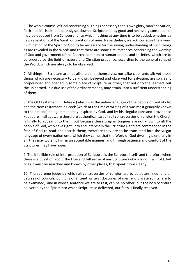6. The whole counsel of God concerning all things necessary for his own glory, man's salvation, faith and life, is either expressly set down in Scripture, or by good and necessary consequence may be deduced from Scripture; unto which nothing at any time is to be added, whether by new revelations of the Spirit, or traditions of men. Nevertheless, we acknowledge the inward illumination of the Spirit of God to be necessary for the saving understanding of such things as are revealed in the Word: and that there are some circumstances concerning the worship of God and government of the Church, common to human actions and societies, which are to be ordered by the light of nature and Christian prudence, according to the general rules of the Word, which are always to be observed.

7. All things in Scripture are not alike plain in themselves, nor alike clear unto all: yet those things which are necessary to be known, believed and observed for salvation, are so clearly propounded and opened in some place of Scripture or other, that not only the learned, but the unlearned, in a due use of the ordinary means, may attain unto a sufficient understanding of them.

8. The Old Testament in Hebrew (which was the native language of the people of God of old) and the New Testament in Greek (which at the time of writing of it was most generally known to the nations) being immediately inspired by God, and by his singular care and providence kept pure in all ages, are therefore authentical; so as in all controversies of religion the Church is finally to appeal unto them. But because these original tongues are not known to all the people of God, who have right unto and interest in the Scriptures, and are commanded in the fear of God to read and search them; therefore they are to be translated into the vulgar language of every nation unto which they come, that the Word of God dwelling plentifully in all, they may worship him in an acceptable manner, and through patience and comfort of the Scriptures may have hope.

9. The infallible rule of interpretation of Scripture, is the Scripture itself; and therefore when there is a question about the true and full sense of any Scripture (which is not manifold, but one) it must be searched and known by other places, that speak more clearly.

10. The supreme judge by which all controversies of religion are to be determined, and all decrees of councils, opinions of ancient writers, doctrines of men and private spirits, are to be examined, .and in whose sentence we are to rest, can be no other, but the holy Scripture delivered by the Spirit; into which Scripture so delivered, our faith is finally resolved.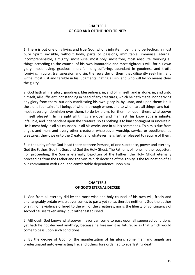#### **CHAPTER 2 OF GOD AND OF THE HOLY TRINITY**

1. There is but one only living and true God; who is infinite in being and perfection, a most pure Spirit, invisible, without body, parts or passions, immutable, immense, eternal. incomprehensible, almighty, most wise, most holy, most free, most absolute, working all things according to the counsel of his own immutable and most righteous will, for his own glory, most loving, gracious. merciful, long-suffering. abundant in goodness and truth, forgiving iniquity, transgression and sin. the rewarder of them that diligently seek him; and withal most just and terrible in his judgments. hating all sin, and who will by no means clear the guilty.

2. God hath all life, glory. goodness, blessedness, in, and of himself; and is alone, in, and unto himself, all-sufficient, not standing in need of any creatures, which he hath made, nor deriving any glory from them, but only manifesting his own glory in, by, unto, and upon them: He is the alone fountain of all being, of whom, through whom, and to whom are all things; and hath most sovereign dominion over them, to do by them, for them, or upon them. whatsoever himself pleaseth. In his sight all things are open and manifest, his knowledge is infinite, infallible, and independent upon the creature, so as nothing is to him contingent or uncertain. He is most holy in all his counsels, in all his works, and in all his commands. To him is due from angels and men, and every other creature, whatsoever worship, service or obedience, as creatures, they owe unto the Creator, and whatever he is further pleased to require of them.

3. In the unity of the God-head there be three Persons, of one substance, power and eternity. God the Father, God the Son, and God the Holy Ghost. The Father is of none, neither begotten, nor proceeding; the Son is eternally begotten of the Father; the Holy Ghost eternally proceeding from the Father and the Son. Which doctrine of the Trinity is the foundation of all our communion with God, and comfortable dependence upon him.

#### **CHAPTER 3 OF GOD'S ETERNAL DECREE**

1. God from all eternity did by the most wise and holy counsel of his own will, freely and unchangeably ordain whatsoever comes to pass: yet so, as thereby neither is God the author of sin, nor is violence offered to the will of the creatures, nor is the liberty or contingency of second causes taken away, but rather established.

2. Although God knows whatsoever mayor can come to pass upon all supposed conditions, yet hath he not decreed anything, because he foresaw it as future, or as that which would come to pass upon such conditions.

3. By the decree of God for the manifestation of his glory, some men and angels are predestinated unto everlasting life, and others fore ordained to everlasting death.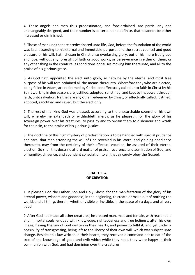4. These angels and men thus predestinated, and fore-ordained, are particularly and unchangeably designed, and their number is so certain and definite, that it cannot be either increased or diminished.

5. Those of mankind that are predestinated unto life, God, before the foundation of the world was laid, according to his eternal and immutable purpose, and the secret counsel and good pleasure of his will, hath chosen in Christ unto everlasting glory, out of his mere free grace and love, without any foresight of faith or good works, or perseverance in either of them, or any other thing in the creature, as conditions or causes moving him thereunto, and all to the praise of his glorious grace.

6. As God hath appointed the elect unto glory, so hath he by the eternal and most free purpose of his will fore ordained all the means thereunto. Wherefore they who are elected, being fallen in Adam, are redeemed by Christ, are effectually called unto faith in Christ by his Spirit working in due season, are justified, adopted, sanctified, and kept by his power, through faith, unto salvation. Neither are any other redeemed by Christ, or effectually called, justified, adopted, sanctified and saved, but the elect only.

7. The rest of mankind God was pleased, according to the unsearchable counsel of his own will, whereby he extendeth or withholdeth mercy, as he pleaseth, for the glory of his sovereign power over his creatures, to pass by and to ordain them to dishonour and wrath for their sin, to the praise of his glorious justice.

8. The doctrine of this high mystery of predestination is to be handled with special prudence and care, that men attending the will of God revealed in his Word, and yielding obedience thereunto, may from the certainty of their effectual vocation, be assured of their eternal election. So shall this doctrine afford matter of praise, reverence and admiration of God, and of humility, diligence, and abundant consolation to all that sincerely obey the Gospel.

#### **CHAPTER 4 OF CREATION**

1. It pleased God the Father, Son and Holy Ghost. for the manifestation of the glory of his eternal power, wisdom and goodness, in the beginning, to create or make out of nothing the world, and all things therein, whether visible or invisible, in the space of six days, and all very good.

2. After God had made all other creatures, he created man, male and female, with reasonable and immortal souls, endued with knowledge, righteousness and true holiness, after his own image, having the law of God written in their hearts, and power to fulfil it; and yet under a possibility of transgressing, being left to the liberty of their own will, which was subject unto change. Besides this law written in their hearts, they received a command not to eat of the tree of the knowledge of good and evil; which while they kept, they were happy in their communion with God, and had dominion over the creatures.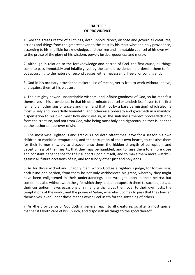#### **CHAPTER 5 OF PROVIDENCE**

1. God the great Creator of all things, doth uphold, direct, dispose and govern all creatures, actions and things from the greatest even to the least by his most wise and holy providence, according to his infallible foreknowledge, and the free and immutable counsel of his own will, to the praise of the glory of his wisdom, power, justice, goodness and mercy.

2. Although in relation to the foreknowledge and decree of God, the first cause, all things come to pass immutably and infallibly; yet by the same providence he ordereth them to fall out according to the nature of second causes, either necessarily, freely, or contingently.

3. God in his ordinary providence maketh use of means, yet is free to work without, above, and against them at his pleasure.

4. The almighty power, unsearchable wisdom, and infinite goodness of God, so far manifest themselves in his providence, in that his determinate counsel extendeth itself even to the first fall, and all other sins of angels and men (and that not by a bare permission) which also he most wisely and powerfully boundeth, and otherwise ordereth and govemeth in a manifold dispensation to his own most holy ends; yet so, as the sinfulness thereof proceedeth only from the creature, and not from God, who being most holy and righteous, neither is, nor can be the author or approver of sin.

5. The most wise, righteous and gracious God doth oftentimes leave for a season his own children to manifold temptations, and the corruption of their own hearts, to chastise them for their former sins, or, to discover unto them the hidden strength of corruption, and deceitfulness of their hearts, that they may be humbled; and to raise them to a more close and constant dependence for their support upon himself, and to make them more watchful against all future occasions of sin, and for sundry other just and holy ends.

6. As for those wicked and ungodly men, whom God as a righteous judge, for former sins, doth blind and harden, from them he not only withholdeth his grace, whereby they might have been enlightened in their understandings, and wrought upon in their hearts; but sometimes also withdraweth the gifts which they had, and exposeth them to such objects, as their corruption makes occasions of sin; and withal gives them over to their own lusts, the temptations of the world, and the power of Satan; whereby it comes to pass that they harden themselves, even under those means which God useth for the softening of others.

7. As -the providence of God doth in general reach to all creatures, so after a most special manner it taketh care of his Church, and disposeth all things to the good thereof.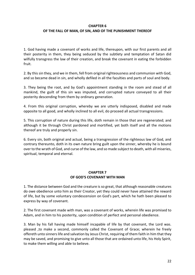#### **CHAPTER 6**

# **OF THE FALL OF MAN, OF SIN, AND OF THE PUNISHMENT THEREOF**

1. God having made a covenant of works and life, thereupon, with our first parents and all their posterity in them, they being seduced by the subtlety and temptation of Satan did wilfully transgress the law of their creation, and break the covenant in eating the forbidden fruit.

2. By this sin they, and we in them, fell from original righteousness and communion with God, and so became dead in sin, and wholly defiled in all the faculties and parts of soul and body.

3. They being the root, and by God's appointment standing in the room and stead of all mankind, the guilt of this sin was imputed, and corrupted nature conveyed to all their posterity descending from them by ordinary generation.

4. From this original corruption, whereby we are utterly indisposed, disabled and made opposite to all good, and wholly inclined to all evil, do proceed all actual transgressions.

5. This corruption of nature during this life, doth remain in those that are regenerated; and although it be through Christ pardoned and mortified, yet both itself and all the motions thereof are truly and properly sin.

6. Every sin, both original and actual, being a transgression of the righteous law of God, and contrary thereunto, doth in its own nature bring guilt upon the sinner, whereby he is bound over to the wrath of God, and curse of the law, and so made subject to death, with all miseries, spiritual, temporal and eternal.

# **CHAPTER 7 OF GOD'S COVENANT WITH MAN**

1. The distance between God and the creature is so great, that although reasonable creatures do owe obedience unto him as their Creator, yet they could never have attained the reward of life, but by some voluntary condescension on God's part, which he hath been pleased to express by way of covenant.

2. The first covenant made with man, was a covenant of works, wherein life was promised to Adam, and in him to his posterity, upon condition of perfect and personal obedience.

3. Man by his fall having made himself incapable of life by that covenant, the Lord was. pleased ,to make a second, commonly called the Covenant of Grace; wherein he freely offereth unto sinners life and salvation by Jesus Christ, requiring of them faith in him that they may be saved, and promising to give unto all those that are ordained unto life, his Holy Spirit, to make them willing and able to believe.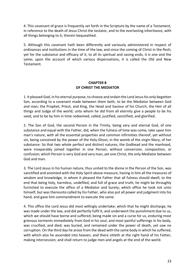4. This covenant of grace is frequently set forth in the Scripture by the name of a Testament, in reference to the death of Jesus Christ the testator, and to the everlasting inheritance, with all things belonging to it, therein bequeathed.

5. Although this covenant hath been differently and variously administered in respect of ordinances and institutions in the time of the law, and since the coming of Christ in the flesh; yet for the substance and efficacy of it, to all its spiritual and saving ends, it is one and the same; upon the account of which various dispensations, it is called the Old and New Testament.

#### **CHAPTER 8 OF CHRIST THE MEDIATOR**

1. It pleased God, in his eternal purpose, to choose and ordain the Lord Jesus his only begotten Son, according to a covenant made between them both, to be the Mediator between God and man; the Prophet, Priest, and King, the Head and Saviour of his Church, the Heir of all things and Judge of the world; unto whom he did from all eternity give a people to be his seed, and to be by him in time redeemed, called, justified, sanctified, and glorified.

2. The Son of God, the second Person in the Trinity, being very and eternal God, of one substance and equal with the Father, did, when the fulness of time was come, take upon him man's nature, with all the essential properties and common infirmities thereof, yet without sin, being conceived by the power of the Holy Ghost, in the womb of the virgin Mary, of her substance: So that two whole perfect and distinct natures, the Godhead and the manhood, were inseparably joined together in one Person, without conversion, composition, or confusion; which Person is very God and very man, yet one Christ, the only Mediator between God and man.

3. The Lord Jesus in his human nature, thus united to the divine in the Person of the Son, was sanctified and anointed with the Holy Spirit above measure, having in him all the treasures of wisdom and knowledge, in whom it pleased the Father that all fulness should dwell; to the end that being holy, harmless, undefiled, and full of grace and truth, he might be throughly furnished to execute the office of a Mediator and Surety; which office he took not unto himself, but was thereunto called by his Father, who also put all power and judgment into his hand, and gave him commandment to execute the same.

4. This office the Lord Jesus did most willingly undertake; which that he might discharge, he was made under the law, and did perfectly fulfil it, and underwent the punishment due to us, which we should have borne and suffered, being made sin and a curse for us, enduring most grievous torments immediately from God in his soul, and most painful sufferings in his body, was crucified, and died; was buried, and remained under the power of death, yet saw no corruption. On the third day he arose from the dead with the same body in which he suffered, with which also he ascended into heaven, and there sitteth at the right hand of his Father, making intercession; and shall return to judge men and angels at the end of the world.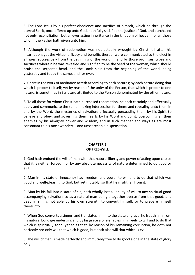5. The Lord Jesus by his perfect obedience and sacrifice of himself, which he through the eternal Spirit, once offered up unto God, hath fully satisfied the justice of God, and purchased not only reconciliation, but an everlasting inheritance in the kingdom of heaven, for all those whom .the Father hath given unto him.

6. Although the work of redemption was not actually wrought by Christ, till after his incarnation; yet the virtue, efficacy and benefits thereof were communicated to the elect in all ages, successively from the beginning of the world, in and by those promises, types and sacrifices wherein he was revealed and signified to be the Seed of the woman, which should bruise the serpent's head, and the Lamb slain from the beginning of the world, being yesterday and today the same, and for ever.

7. Christ in the work of mediation acteth according to both natures; by each nature doing that which is proper to itself; yet by reason of the unity of the Person, that which is proper to one nature, is sometimes in Scripture attributed to the Person denominated by the other nature.

8. To all those for whom Christ hath purchased redemption, he doth certainly and effectually apply and communicate the same; making intercession for them; and revealing unto them in and by the Word, the mysteries of salvation; effectually persuading them by his Spirit to believe and obey, and governing their hearts by his Word and Spirit; overcoming all their enemies by his almighty power and wisdom, and in such manner and ways as are most consonant to his most wonderful and unsearchable dispensation.

#### **CHAPTER 9 OF FREE-WILL**

1. God hath endued the will of man with that natural liberty and power of acting upon choice that it is neither forced, nor by any absolute necessity of nature determined to do good or evil.

2. Man in his state of innocency had freedom and power to will and to do that which was good and well-pleasing to God; but yet mutably, so that he might fall from it.

3. Man by his fall into a state of sin, hath wholly lost all ability of will to any spiritual good accompanying salvation; so as a natural man being altogether averse from that good, and dead in sin, is not able by his own strength to convert himself, or to prepare himself thereunto.

4. When God converts a sinner, and translates him into the state of grace, he freeth him from his natural bondage under sin, and by his grace alone enables him freely to will and to do that which is spiritually good; yet so as that, by reason of his remaining corruption, he doth not perfectly nor only will that which is good, but doth also will that which is evil.

5. The will of man is made perfectly and immutably free to do good alone in the state of glory only.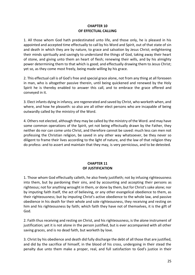#### **CHAPTER 10 OF EFFECTUAL CALLING**

1. All those whom God hath predestinated unto life, and those only, he is pleased in his appointed and accepted time effectually to call by his Word and Spirit, out of that state of sin and death in which they are by nature, to grace and salvation by Jesus Christ; enlightening their minds spiritually and savingly to understand the things of God, taking away their heart of stone, and giving unto them an heart of flesh; renewing their wills, and by his almighty power determining them to that which is good; and effectually drawing them to Jesus Christ; yet so, as they come most freely, being made willing by his grace.

2. This effectual call is of God's free and special grace alone, not from any thing at all foreseen in man, who is altogether passive therein, until being quickened and renewed by the Holy Spirit he is thereby enabled to answer this call, and to embrace the grace offered and conveyed in it.

3. Elect infants dying in infancy, are regenerated and saved by Christ, who worketh when, and where, and how he pleaseth: so also are all other elect persons who are incapable of being outwardly called by the ministry of the Word.

4. Others not elected, although they may be called by the ministry of the Word. and may have some common operations of the Spirit, yet not being effectually drawn by the Father, they neither do nor can come unto Christ, and therefore cannot be saved: much less can men not professing the Christian religion, be saved in any other way whatsoever, be they never so diligent to frame their lives according to the light of nature, and the law of that religion they do profess: and to assert and maintain that they may, is very pernicious, and to be detested.

#### **CHAPTER 11 OF JUSTIFICATION**

1. Those whom God effectually calleth, he also freely justifieth; not by infusing righteousness into them, but by pardoning their sins, and by accounting and accepting their persons as righteous; not for anything wrought in them, or done by them, but for Christ's sake alone; nor by imputing faith itself, the act of believing, or any other evangelical obedience to them, as their righteousness; but by imputing Christ's active obedience to the whole law, and passive obedience in his death for their whole and sole righteousness, they receiving and resting on him and his righteousness by faith; which faith they have not of themselves, it is the gift of God.

2. Faith thus receiving and resting on Christ, and his righteousness, is the alone instrument of justification; yet it is not alone in the person justified, but is ever accompanied with all other saving graces, and is no dead faith, but worketh by love.

3. Christ by his obedience and death did fully discharge the debt of all those that are justified, and did by the sacrifice of himself, in the blood of his cross, undergoing in their stead the penalty due unto them make a proper, real, and full satisfaction to God's justice in their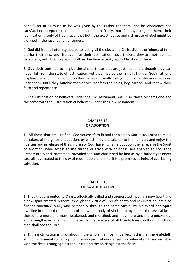behalf. Yet in as much as he was given by the Father for them, and his obedience and satisfaction accepted in their stead, and both freely, not for any thing in them, their justification is only of free grace, that both the exact justice and rich grace of God might be glorified in the justification of sinners.

4. God did from all eternity decree to justify all the elect, and Christ did in the fulness of time die for their sins, and rise again for their justification: nevertheless, they are not justified personally, until the Holy Spirit doth in due time actually apply Christ unto them.

5. God doth continue to forgive the sins of those that are justified; and although they can never fall from the state of justification, yet they may by their sins fall under God's fatherly displeasure: and in that condition they have not usually the light of his countenance restored unto them, until they humble themselves, confess their sins, beg pardon, and renew their faith and repentance.

6. The justification of believers under the Old Testament, was in all these respects one and the same with the justification of believers under the New Testament.

# **CHAPTER 12 OF ADOPTION**

1. All those that are justified, God vouchsafeth in and for his only Son Jesus Christ to make partakers of the grace of adoption, by which they are taken into the number, and enjoy the liberties and privileges of the children of God, have his name put upon them, receive the Spirit of adoption; have access to the throne of grace with boldness, are enabled to cry, Abba Father; are pitied, protected, provided for, and chastened by him as by a father; yet never cast off, but sealed to the day of redemption, and inherit the promises as heirs of everlasting salvation.

#### **CHAPTER 13 OF SANCTIFICATION**

1. They that are united to Christ, effectually called and regenerated, having a new heart and a new spirit created in them, through the virtue of Christ's death and resurrection, are also further sanctified really and personally through the same virtue, by his Word and Spirit dwelling in them; the dominion of the whole body of sin is destroyed and the several lusts thereof are more and more weakened, and mortified, and they more and more quickened, and strengthened in all saving graces, to the practice of all true holiness, without which no man shall see the Lord.

2. This sanctification is throughout in the whole man, yet imperfect in this life; there abideth still some remnants of corruption in every part; whence ariseth a continual and irreconcilable war, the flesh lusting against the Spirit, and the Spirit against the flesh.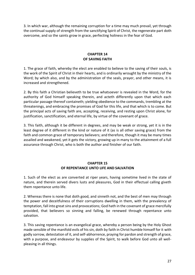3. In which war, although the remaining corruption for a time may much prevail, yet through the continual supply of strength from the sanctifying Spirit of Christ, the regenerate part doth overcome, and so the saints grow in grace, perfecting holiness in the fear of God.

#### **CHAPTER 14 OF SAVING FAITH**

1. The grace of faith, whereby the elect are enabled to believe to the saving of their souls, is the work of the Spirit of Christ in their hearts, and is ordinarily wrought by the ministry of the Word; by which also, and by the administration of the seals, prayer, and other means, it is increased and strengthened.

2. By this faith a Christian believeth to be true whatsoever is revealed in the Word, for the authority of God himself speaking therein, and acteth differently upon that which each particular passage thereof containeth; yielding obedience to the commands, trembling at the threatenings, and embracing the promises of God for this life, and that which is to come. But the principal acts of saving faith are, accepting, receiving, and resting upon Christ alone, for justification, sanctification, and eternal life, by virtue of the covenant of grace.

3. This faith, although it be different in degrees, and may be weak or strong, yet it is in the least degree of it different in the kind or nature of it (as is all other saving grace) from the faith and common grace of temporary believers; and therefore, though it may be many times assailed and weakened, yet it gets the victory, growing up in many to the attainment of a full assurance through Christ, who is both the author and finisher of our faith.

#### **CHAPTER 15 OF REPENTANCE UNTO LIFE AND SALVATION**

1. Such of the elect as are converted at riper years, having sometime lived in the state of nature, and therein served divers lusts and pleasures, God in their effectual calling giveth them repentance unto life.

2. Whereas there is none that doth good, and sinneth not, and the best of men may through the power and deceitfulness of their corruptions dwelling in them, with the prevalency of temptation, fall into great sins and provocations; God hath in the covenant of grace mercifully provided, that believers so sinning and falling, be renewed through repentance unto salvation.

3. This saving repentance is an evangelical grace, whereby a person being by the Holy Ghost made sensible of the manifold evils of his sin, doth by faith in Christ humble himself for it with godly sorrow, detestation of it, and self-abhorrence, praying for pardon and strength of grace, with a purpose, and endeavour by supplies of the Spirit, to walk before God unto all wellpleasing in all things.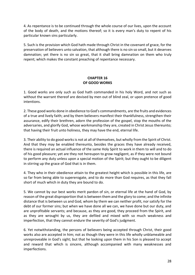4. As repentance is to be continued through the whole course of our lives, upon the account of the body of death, and the motions thereof; so it is every man's duty to repent of his particular known sins particularly.

5. Such is the provision which God hath made through Christ in the covenant of grace, for the preservation of believers unto salvation, that although there is no sin so small, but it deserves damnation; yet there is no sin so great, that it shall bring damnation on them who truly repent; which makes the constant preaching of repentance necessary.

#### **CHAPTER 16 OF GOOD WORKS**

1. Good works are only such as God hath commanded in his holy Word, and not such as without the warrant thereof are devised by men out of blind zeal, or upon pretence of good intentions.

2. These good works done in obedience to God's commandments, are the fruits and evidences of a true and lively faith; and by them believers manifest their thankfulness, strengthen their assurance, edify their brethren, adorn the profession of the gospel, stop the mouths of the adversaries, and glorify God, whose workmanship they are, created in Christ Jesus thereunto; that having their fruit unto holiness, they may have the end, eternal life.

3. Their ability to do good works is not at all of themselves, but wholly from the Spirit of Christ. And that they may be enabled thereunto, besides the graces they have already received, there is required an actual influence of the same Holy Spirit to work in them to will and to do of his good pleasure; yet are they not hereupon to grow negligent, as if they were not bound to perform any duty unless upon a special motion of the Spirit; but they ought to be diligent in stirring up the grace of God that is in them.

4. They who in their obedience attain to the greatest height which is possible in this life, are so far from being able to supererogate, and to do more than God requires, as that they fall short of much which in duty they are bound to do.

5. We cannot by our best works merit pardon of sin, or eternal life at the hand of God, by reason of the great disproportion that is between them and the glory to come; and the infinite distance that is between us and God, whom by them we can neither profit, nor satisfy for the debt of our former sins; but when we have done all we can, we have done but our duty, and are unprofitable servants; and because, as they are good, they proceed from the Spirit, and as they are wrought by us, they are defiled and mixed with so much weakness and imperfection, that they cannot endure the severity of God's judgment.

6. Yet notwithstanding, the persons of believers being accepted through Christ, their good works also are accepted in him; not as though they were in this life wholly unblameable and unreproveable in God's sight; but that he looking upon them in his Son is pleased to accept and reward that which is sincere, although accompanied with many weaknesses and imperfections.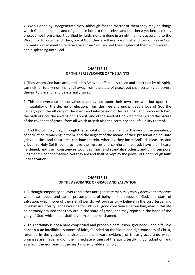7. Works done by unregenerate men, although for the matter of them they may be things which God commands, and of good use both to themselves and to others: yet because they proceed not from a heart purified by faith; nor are done in a right manner, according to the Word; nor to a right end, the glory of God; they are therefore sinful, and cannot please God, nor make a man meet to receive grace from God; and yet their neglect of them is more sinful, and displeasing unto God.

#### **CHAPTER 17 OF THE PERSEVERANCE OF THE SAINTS**

1. They whom God hath accepted in his Beloved, effectually called and sanctified by his Spirit, can neither totally nor finally fall away from the state of grace; but shall certainly persevere therein to the end, and be eternally saved.

2. This perseverance of the saints depends not upon their own free will, but upon the immutability of the decree of election; from the free and unchangeable love of God the Father; upon the efficacy of the merit and intercession of Jesus Christ, and union with him; the oath of God; the abiding of his Spirit; and of the seed of God within them; and the nature of the covenant of grace; from all which ariseth also the certainty and infallibility thereof.

3. And though they may, through the temptation of Satan, and of the world, the prevalency of corruption remaining in them, and the neglect of the means of their preservation, fall into grievous sins; and for a time continue therein, whereby they incur God's displeasure, and grieve his Holy Spirit; come to have their graces and comforts impaired; have their hearts hardened, and their consciences wounded; hurt and scandalize others, and bring temporal judgments upon themselves; yet they are and shall be kept by the power of God through faith unto salvation.

## **CHAPTER 18 OF THE ASSURANCE OF GRACE AND SALVATION**

1. Although temporary believers and other unregenerate men may vainly deceive themselves with false hopes, and carnal presumptions of being in the favour of God, and state of salvation, which hope of theirs shall perish; yet such as truly believe in the Lord Jesus, and love him in sincerity, endeavouring to walk in all good conscience before him, may in this life be certainly assured that they are in the state of grace, and may rejoice in the hope of the glory of God, which hope shall never make them ashamed.

2. This certainty is not a bare conjectural and probable persuasion, grounded upon a fallible hope; but an infallible assurance of faith, founded on the blood and righteousness of Christ, revealed in the gospel, and also upon the inward evidence of those graces unto which promises are made, and on the immediate witness of the Spirit, testifying our adoption, and as a fruit thereof, leaving the heart more humble and holy.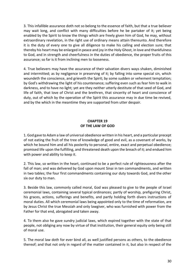3. This infallible assurance doth not so belong to the essence of faith, but that a true believer may wait long, and conflict with many difficulties before he be partaker of it; yet being enabled by the Spirit to know the things which are freely given him of God, he may, without extraordinary revelation, in the right use of ordinary means attain thereunto. And therefore it is the duty of every one to give all diligence to make his calling and election sure; that thereby his heart may be enlarged in peace and joy in the Holy Ghost, in love and thankfulness to God, and in strength and cheerfulness in the duties of obedience, the proper fruits of this assurance; so far is it from inclining men to looseness.

4. True believers may have the assurance of their salvation divers ways shaken, diminished and intermitted; as by negligence in preserving of it; by falling into some special sin, which woundeth the conscience, and grieveth the Spirit; by some sudden or vehement temptation; by God's withdrawing the light of his countenance; suffering even such as fear him to walk in darkness, and to have no light; yet are they neither utterly destitute of that seed of God, and life of faith, that love of Christ and the brethren, that sincerity of heart and conscience of duty, out of which by the operation of the Spirit this assurance may in due time be revived, and by the which in the meantime they are supported from utter despair.

#### **CHAPTER 19 OF THE LAW OF GOD**

1. God gave to Adam a law of universal obedience written in his heart, and a particular precept of not eating the fruit of the tree of knowledge of good and evil, as a covenant of works, by which he bound him and all his posterity to personal, entire, exact and perpetual obedience; promised life upon the fulfilling, and threatened death upon the breach of it; and endued him with power and ability to keep it.

2. This law, so written in the heart, continued to be a perfect rule of righteousness after the fall of man; and was delivered by God upon mount Sinai in ten commandments, and written in two tables; the four first commandments containing our duty towards God, and the other six our duty to man.

3. Beside this law, commonly called moral, God was pleased to give to the people of Israel ceremonial laws, containing several typical ordinances; partly of worship, prefiguring Christ, his graces, actions, sufferings and benefits, and partly holding forth divers instructions of moral duties. All which ceremonial laws being appointed only to the time of reformation, are by Jesus Christ the true Messiah and only lawgiver, who was furnished with power from the Father for that end, abrogated and taken away.

4. To them also he gave sundry judicial laws, which expired together with the state of that people, not obliging any now by virtue of that institution, their general equity only being still of moral use.

5. The moral law doth for ever bind all, as well justified persons as others, to the obedience thereof; and that not only in regard of the matter contained in it, but also in respect of the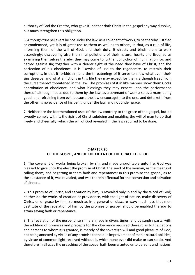authority of God the Creator, who gave it: neither doth Christ in the gospel any way dissolve, but much strengthen this obligation.

6. Although true believers be not under the law, as a covenant of works, to be thereby justified or condemned; yet it is of great use to them as well as to others, in that, as a rule of life, informing them of the will of God, and their duty, it directs and binds them to walk accordingly; discovering also the sinful pollutions of their nature, hearts and lives; so as examining themselves thereby, they may come to further conviction of, humiliation for, and hatred against sin; together with a clearer sight of the need they have of Christ, and the perfection of his obedience. It is likewise of use to the regenerate, to restrain their corruptions, in that it forbids sin; and the threatenings of it serve to show what even their sins deserve, and what afflictions in this life they may expect for them, although freed from the curse thereof threatened in the law. The promises of it in like manner show them God's approbation of obedience, and what blessings they may expect upon the performance thereof, although not as due to them by the law, as a covenant of works; so as a mans doing good, and refraining from evil, because the law encourageth to the one, and deterreth from the other, is no evidence of his being under the law, and not under grace.

7. Neither are the forementioned uses of the law contrary to the grace of the gospel, but do sweetly comply with it; the Spirit of Christ subduing and enabling the will of man to do that freely and cheerfully, which the will of God revealed in the law required to be done.

## **CHAPTER 20 OF THE GOSPEL, AND OF THE EXTENT OF THE GRACE THEREOF**

1. The covenant of works being broken by sin, and made unprofitable unto life, God was pleased to give unto the elect the promise of Christ, the seed of the woman, as the means of calling them, and begetting in them faith and repentance: in this promise the gospel, as to the substance of it, was revealed, and was therein effectual for the conversion and salvation of sinners.

2. This promise of Christ, and salvation by him, is revealed only in and by the Word of God; neither do the works of creation or providence, with the light of nature, make discovery of Christ, or of grace by him, so much as in a general or obscure way; much less that men destitute of the revelation of him by the promise or gospel, should be enabled thereby to attain saving faith or repentance.

3. The revelation of the gospel unto sinners, made in divers times, and by sundry parts, with the addition of promises and precepts for the obedience required therein, as to the nations and persons to whom it is granted, is merely of the sovereign will and good pleasure of God, not being annexed by virtue of any promise to the due improvement of men's natural abilities, by virtue of common light received without it, which none ever did make or can so do. And therefore in all ages the preaching of the gospel hath been granted unto persons and nations,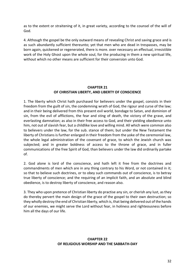as to the extent or straitening of it, in great variety, according to the counsel of the will of God.

4. Although the gospel be the only outward means of revealing Christ and saving grace and is as such abundantly sufficient thereunto; yet that men who are dead in trespasses, may be born again, quickened or regenerated, there is more. over necessary an effectual, irresistible work of the Holy Ghost upon the whole soul, for the producing in them a new spiritual life, without which no other means are sufficient for their conversion unto God.

#### **CHAPTER 21 OF CHRISTIAN LIBERTY, AND LIBERTY OF CONSCIENCE**

1. The liberty which Christ hath purchased for believers under the gospel, consists in their freedom from the guilt of sin, the condemning wrath of God, the rigour and curse of the law; and in their being delivered from this present evil world, bondage to Satan, and dominion of sin, from the evil of afflictions, the fear and sting of death, the victory of the grave, and everlasting damnation; as also in their free access to God, and their yielding obedience unto him, not out of slavish fear, but a childlike love and willing mind. All which were common also to believers under the law, for the sub. stance of them; but under the New Testament the liberty of Christians is further enlarged in their freedom from the yoke of the ceremonial law, the whole legal administration of the covenant of grace, to which the Jewish church was subjected; and in greater boldness of access to the throne of grace, and in fuller communications of the free Spirit of God, than believers under the law did ordinarily partake of.

2. God alone is lord of the conscience, and hath left it free from the doctrines and commandments of men which are in any thing contrary to his Word, or not contained in it; so that to believe such doctrines, or to obey such commands out of conscience, is to betray true liberty of conscience; and the requiring of an implicit faith, and an absolute and blind obedience, is to destroy liberty of conscience, and reason also.

3. They who upon pretence of Christian liberty do practise any sin, or cherish any lust, as they do thereby pervert the main design of the grace of the gospel to their own destruction; so they wholly destroy the end of Christian liberty, which is, that being delivered out of the hands of our enemies, we might serve the Lord without fear, in holiness and righteousness before him all the days of our life.

#### **CHAPTER 22 OF RELIGIOUS WORSHIP AND THE SABBATH-DAY**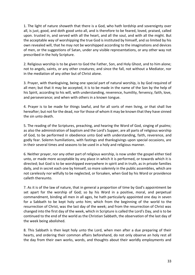1. The light of nature showeth that there is a God, who hath lordship and sovereignty over all, is just, good, and doth good unto all, and is therefore to be feared, loved, praised, called upon. trusted in, and served with all the heart, and all the soul, and with all the might. But the acceptable way of worshipping the true God is instituted by himself, and so limited by his own revealed will, that he may not be worshipped according to the imaginations and devices of men, or the suggestions of Satan, under any visible representations, or any other way not prescribed in the holy Scripture.

2. Religious worship is to be given to God the Father, Son, and Holy Ghost, and to him alone; not to angels, saints, or any other creatures; and since the fall, not without a Mediator, nor in the mediation of any other but of Christ alone.

3. Prayer, with thanksgiving, being one special part of natural worship, is by God required of all men; but that it may be accepted, it is to be made in the name of the Son by the help of his Spirit, according to his will, with understanding, reverence, humility, fervency, faith, love, and perseverance; and when with others in a known tongue.

4. Prayer is to be made for things lawful, and for all sorts of men living, or that shall live hereafter; but not for the dead, nor for those of whom it may be known that they have sinned the sin unto death.

5. The reading of the Scriptures, preaching, and hearing the Word of God, singing of psalms; as also the administration of baptism and the Lord's Supper, are all parts of religious worship of God, to be performed in obedience unto God with understanding, faith, reverence, and godly fear. Solemn humiliations, with fastings and thanksgivings upon special occasions, are in their several times and seasons to be used in a holy and religious manner.

6. Neither prayer, nor any other part of religious worship, is now under the gospel either tied unto, or made more acceptable by any place in which it is performed, or towards which it is directed; but God is to be worshipped everywhere in spirit and in truth, as in private families daily, and in secret each one by himself, so more solemnly in the public assemblies, which are not carelessly nor wilfully to be neglected, or forsaken, when God by his Word or providence calleth thereunto.

7. As it is of the law of nature, that in general a proportion of time by God's appointment be set apart for the worship of God; so by his Word in a positive, moral, and perpetual commandment, binding all men in all ages, he hath particularly appointed one day in seven for a Sabbath to be kept holy unto him; which from the beginning of the world to the resurrection of Christ, was the last day of the week; and from the resurrection of Christ was changed into the first day of the week, which in Scripture is called the Lord's Day, and is to be continued to the end of the world as the Christian Sabbath, the observation of the last day of the week being abolished.

8. This Sabbath is then kept holy unto the Lord, when men after a due preparing of their hearts, and ordering their common affairs beforehand, do not only observe an holy rest all the day from their own works, words, and thoughts about their worldly employments and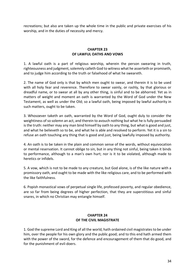recreations; but also are taken up the whole time in the public and private exercises of his worship, and in the duties of necessity and mercy.

## **CHAPTER 23 OF LAWFUL OATHS AND VOWS**

1. A lawful oath is a part of religious worship, wherein the person swearing in truth, righteousness and judgment, solemnly calleth God to witness what he asserteth or promiseth, and to judge him according to the truth or falsehood of what he sweareth.

2. The name of God only is that by which men ought to swear, and therein it is to be used with all holy fear and reverence. Therefore to swear vainly, or rashly, by that glorious or dreadful name, or to swear at all by any other thing, is sinful and to be abhorred. Yet as in matters of weight and moment an oath is warranted by the Word of God under the New Testament, as well as under the Old; so a lawful oath, being imposed by lawful authority in such matters, ought to be taken.

3. Whosoever taketh an oath, warranted by the Word of God, ought duly to consider the weightiness of so solemn an act, and therein to avouch nothing but what he is fully persuaded is the truth: neither may any man bind himself by oath to any thing, but what is good and just, and what he believeth so to be, and what he is able and resolved to perform. Yet it is a sin to refuse an oath touching any thing that is good and just, being lawfully imposed by authority.

4. An oath is to be taken in the plain and common sense of the words, without equivocation or mental reservation. It cannot oblige to sin, but in any thing not sinful, being taken it binds to performance, although to a man's own hurt; nor is it to be violated, although made to heretics or infidels.

5. A vow, which is not to be made to any creature, but God alone, is of the like nature with a promissory oath, and ought to be made with the like religious care, and to be performed with the like faithfulness.

6. Popish monastical vows of perpetual single life, professed poverty, and regular obedience, are so far from being degrees of higher perfection, that they are superstitious and sinful snares, in which no Christian may entangle himself.

#### **CHAPTER 24 OF THE CIVIL MAGISTRATE**

1. God the supreme Lord and King of all the world, hath ordained civil magistrates to be under him, over the people for his own glory and the public good; and to this end hath armed them with the power of the sword, for the defence and encouragement of them that do good, and for the punishment of evil-doers.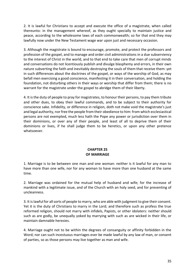2. It is lawful for Christians to accept and execute the office of a magistrate, when called thereunto: in the management whereof, as they ought specially to maintain justice and peace, according to the wholesome laws of each commonwealth; so for that end they may lawfully now under the New Testament wage war upon just and necessary occasion.

3. Although the magistrate is bound to encourage, promote, and protect the professors and profession of the gospel, and to manage and order civil administrations in a due subserviency to the interest of Christ in the world, and to that end to take care that men of corrupt minds and conversations do not licentiously publish and divulge blasphemy and errors, in their own nature subverting the faith and inevitably destroying the souls of them that receive them: yet in such differences about the doctrines of the gospel, or ways of the worship of God, as may befall men exercising a good conscience, manifesting it in their conversation, and holding the foundation, not disturbing others in their ways or worship that differ from them; there is no warrant for the magistrate under the gospel to abridge them of their liberty.

4. It is the duty of people to pray for magistrates, to honour their persons, to pay them tribute and other dues, to obey their lawful commands, and to be subject to their authority for conscience sake. Infidelity, or difference in religion, doth not make void the magistrate's just and legal authority, nor free the people from their obedience to him: from which ecclesiastical persons are not exempted, much less hath the Pope any power or jurisdiction over them in their dominions, or over any of their people, and least of all to deprive them of their dominions or lives, if he shall judge them to be heretics, or upon any other pretence whatsoever.

## **CHAPTER 25 OF MARRIAGE**

1. Marriage is to be between one man and one woman: neither is it lawful for any man to have more than one wife, nor for any woman to have more than one husband at the same time.

2. Marriage was ordained for the mutual help of husband and wife; for the increase of mankind with a legitimate issue, and of the Church with an holy seed, and for preventing of uncleanness.

3. It is lawful for all sorts of people to marry, who are able with judgment to give their consent. Yet it is the duty of Christians to marry in the Lord; and therefore such as profess the true reformed religion, should not marry with infidels, Papists, or other idolaters: neither should such as are godly, be unequally yoked by marrying with such as are wicked in their life, or maintain damnable heresies.

4. Marriage ought not to be within the degrees of consanguity or affinity forbidden in the Word; nor can such incestuous marriages ever be made lawful by any law of man, or consent of parties, so as those persons may live together as man and wife.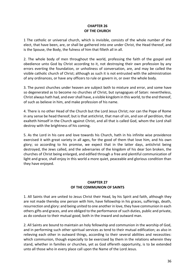## **CHAPTER 26 OF THE CHURCH**

1 The catholic or universal church, which is invisible, consists of the whole number of the elect, that have been, are, or shall be gathered into one under Christ, the Head thereof, and is the Spouse, the Body, the fulness of him that filleth all in all.

2. The whole body of men throughout the world, professing the faith of the gospel and obedience unto God by Christ according to it, not destroying their own profession by any errors everting the foundation, or unholiness of conversation, are, and may be called the visible catholic church of Christ; although as such it is not entrusted with the administration of any ordinances, or have any officers to rule or govern in, or over the whole body.

3. The purest churches under heaven are subject both to mixture and error, and some have so degenerated as to become no churches of Christ, but synagogues of Satan: nevertheless, Christ always hath had, and ever shall have, a visible kingdom in this world, to the end thereof, of such as believe in him, and make profession of his name.

4. There is no other Head of the Church but the Lord Jesus Christ; nor can the Pope of Rome in any sense be head thereof; but is that antichrist, that man of sin, and son of perdition, that exalteth himself in the Church against Christ, and all that is called God, whom the Lord shall destroy with the brightness of his coming.

5. As the Lord in his care and love towards his Church, hath in his infinite wise providence exercised it with great variety in all ages, for the good of them that love him, and his own glory; so according to his promise, we expect that in the latter days, antichrist being destroyed, the Jews called, and the adversaries of the kingdom of his dear Son broken, the churches of Christ being enlarged, and edified through a free and plentiful communication of light and grace, shall enjoy in this world a more quiet, peaceable and glorious condition than they have enjoyed.

## **CHAPTER 27 OF THE COMMUNION OF SAINTS**

1. All Saints that are united to Jesus Christ their Head, by his Spirit and faith, although they are not made thereby one person with him, have fellowship in his graces, sufferings, death, resurrection and glory: and being united to one another in love, they have communion in each others gifts and graces, and are obliged to the performance of such duties, public and private, as do conduce to their mutual good, both in the inward and outward man.

2. All Saints are bound to maintain an holy fellowship and communion in the worship of God, and in performing such other spiritual services as tend to their mutual edification; as also in relieving each other in outward things, according to their several abilities and necessities: which communion, though especially to be exercised by them in the relations wherein they stand, whether in families or churches, yet as God offereth opportunity, is to be extended unto all those who in every place call upon the Name of the Lord Jesus.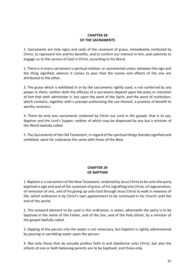#### **CHAPTER 28 OF THE SACRAMENTS**

1. Sacraments are holy signs and seals of the covenant of grace, immediately instituted by Christ, to represent him and his benefits, and to confirm our interest in him, and solemnly to engage us to the service of God in Christ, according to his Word.

2. There is in every sacrament a spiritual relation, or sacramental union, between the sign and the thing signified; whence it comes to pass that the names and effects of the one are attributed to the other.

3. The grace which is exhibited in or by the sacraments rightly used, is not conferred by any power in them; neither doth the efficacy of a sacrament depend upon the piety or intention of him that doth administer it, but upon the work of the Spirit, and the word of institution; which contains, together with a precept authorising the use thereof, a promise of benefit to worthy receivers.

4. There be only two sacraments ordained by Christ our Lord in the gospel, that is to say, Baptism and the Lord's Supper; neither of which may be dispensed by any but a minister of the Word lawfully called.

5. The Sacraments of the Old Testament, in regard of the spiritual things thereby signified and exhibited, were for substance the same with those of the New.

#### **CHAPTER 29 OF BAPTISM**

1. Baptism is a sacrament of the New Testament, ordained by Jesus Christ to be unto the party baptised a sign and seal of the covenant of grace, of his ingrafting into Christ, of regeneration, of remission of sins, and of his giving up unto God through Jesus Christ to walk in newness of life; which ordinance is by Christ's own appointment to be continued in his Church until the end of the world.

2. The outward element to be used in this ordinance, is water, wherewith the party is to be baptised in the name of the Father, and of the Son, and of the Holy Ghost, by a minister of the gospel lawfully called.

3. Dipping of the person into the water is not necessary; but baptism is rightly administered by pouring or sprinkling water upon the person.

4. Not only those that do actually profess faith in and obedience unto Christ, but also the infants of one or both believing parents are to be baptised, and those only.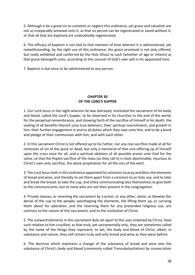5. Although it be a great sin to contemn or neglect this ordinance, yet grace and salvation are not so inseparably annexed unto it, as that no person can be regenerated or saved without it; or that all that are baptised are undoubtedly regenerated.

6. The efficacy of baptism is not tied to that moment of time wherein it is administered; yet notwithstanding, by the right use of this ordinance, the grace promised is not only offered, but really exhibited and conferred by the Holy Ghost to such (whether of age or infants) as that grace belongeth unto, according to the counsel of God's own will in his appointed time.

7. Baptism is but once to be administered to any person.

# **CHAPTER 30 OF THE LORD'S SUPPER**

1. Our Lord Jesus in the night wherein he was betrayed, instituted the sacrament of his body and blood, called the Lord's Supper, to be observed in his churches to the end of the world, for the perpetual remembrance, and showing forth of the sacrifice of himself in his death. the sealing of all benefits thereof unto true believers, their spiritual nourishment, and growth in him, their further engagement in and to all duties which they owe unto him, and to be a bond and pledge of their communion with him, and with each other.

2. In this sacrament Christ is not offered up to his Father, nor any real sacrifice made at all for remission of sin of the quick or dead, but only a memorial of that one offering up of himself upon the cross once for all, and a spiritual oblation of all possible praise unto God for the same; so that the Popish sacrifice of the mass (as they call it) is most abominable, injurious to Christ's own only sacrifice, the alone propitiation for all the sins of the elect.

3. The Lord Jesus hath in this ordinance appointed his ministers to pray and bless the elements of bread and wine, and thereby to set them apart from a common to an holy use; and to take and break the bread, to take the cup, and (they communicating also themselves) to give both to the communicants; but to none who are not then present in the congregation.

4. Private masses, or receiving the sacrament by a priest, or any other, alone; as likewise the denial of the cup to the people; worshipping the elements, the lifting them up, or carrying them about for adoration, and the reserving them for any pretended religious use; are contrary to the nature of this sacrament, and to the institution of Christ.

5. The outward elements in this sacrament duly set apart to the uses ordained by Christ, have such relation to him crucified, as that truly, yet sacramentally only, they are sometimes called by the name of the things they represent, to wit, the body and blood of Christ; albeit, in substance and nature, they still remain truly and only bread and wine as they were before.

6. The doctrine which maintains a change of the substance of bread and wine into the substance of Christ's body and blood (commonly called Transubstantiation) by consecration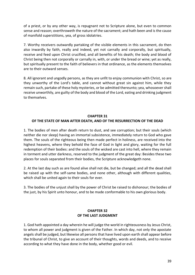of a priest, or by any other way, is repugnant not to Scripture alone, but even to common sense and reason; overthroweth the nature of the sacrament; and hath been and is the cause of manifold superstitions, yea, of gross idolatries.

7. Worthy receivers outwardly partaking of the visible elements in this sacrament, do then also inwardly by faith, really and indeed, yet not carnally and corporally, but spiritually, receive and feed upon Christ crucified, and all benefits of his death; the body and blood of Christ being then not corporally or carnally in, with, or under the bread or wine; yet as really, but spiritually present to the faith of believers in that ordinance, as the elements themselves are to their outward senses.

8. All ignorant and ungodly persons, as they are unfit to enjoy communion with Christ, so are they unworthy of the Lord's table, and cannot without great sin against him, while they remain such, partake of these holy mysteries, or be admitted thereunto; yea, whosoever shall receive unworthily, are guilty of the body and blood of the Lord, eating and drinking judgment to themselves.

#### **CHAPTER 31**

## **OF THE STATE OF MAN AFTER DEATH, AND OF THE RESURRECTION OF THE DEAD**

1. The bodies of men after death return to dust, and see corruption; but their souls (which neither die nor sleep) having an immortal subsistence, immediately return to God who gave them. The souls of the righteous being then made perfect in holiness, are received into the highest heavens, where they behold the face of God in light and glory, waiting for the full redemption of their bodies: and the souls of the wicked are cast into hell, where they remain in torment and utter darkness, reserved to the judgment of the great day: Besides these two places for souls separated from their bodies, the Scripture acknowledgeth none.

2. At the last day such as are found alive shall not die, but be changed; and all the dead shall be raised up with the self-same bodies, and none other, although with different qualities, which shall be united again to their souls for ever.

3. The bodies of the unjust shall by the power of Christ be raised to dishonour; the bodies of the just, by his Spirit unto honour, and to be made conformable to his own glorious body.

#### **CHAPTER 32 OF THE LAST JUDGMENT**

1. God hath appointed a day wherein he will judge the world in righteousness by Jesus Christ, to whom all power and judgment is given of the Father. In which day, not only the apostate angels shall be judged, but likewise all persons that have lived upon earth shall appear before the tribunal of Christ, to give an account of their thoughts, words and deeds, and to receive according to what they have done in the body, whether good or evil.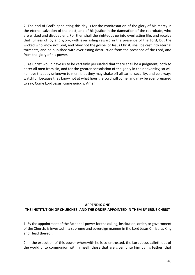2. The end of God's appointing this day is for the manifestation of the glory of his mercy in the eternal salvation of the elect, and of his justice in the damnation of the reprobate, who are wicked and disobedient. For then shall the righteous go into everlasting life, and receive that fulness of joy and glory, with everlasting reward in the presence of the Lord; but the wicked who know not God, and obey not the gospel of Jesus Christ, shall be cast into eternal torments, and be punished with everlasting destruction from the presence of the Lord, and from the glory of his power.

3. As Christ would have us to be certainly persuaded that there shall be a judgment, both to deter all men from sin, and for the greater consolation of the godly in their adversity; so will he have that day unknown to men, that they may shake off all carnal security, and be always watchful, because they know not at what hour the Lord will come, and may be ever prepared to say, Come Lord Jesus, come quickly, Amen.

#### **APPENDIX ONE**

#### **THE INSTITUTION OF CHURCHES, AND THE ORDER APPOINTED IN THEM BY JESUS CHRIST**

1. By the appointment of the Father all power for the calling, institution, order, or government of the Church, is invested in a supreme and sovereign manner in the Lord Jesus Christ, as King and Head thereof.

2. In the execution of this power wherewith he is so entrusted, the Lord Jesus calleth out of the world unto communion with himself, those that are given unto him by his Father, that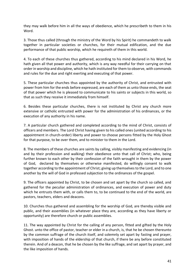they may walk before him in all the ways of obedience, which he prescribeth to them in his Word.

3. Those thus called (through the ministry of the Word by his Spirit) he commandeth to walk together in particular societies or churches, for their mutual edification, and the due performance of that public worship, which he requireth of them in this world.

4. To each of these churches thus gathered, according to his mind declared in his Word, he hath given all that power and authority, which is any way needful for their carrying on that order in worship and discipline, which he hath instituted for them to observe, with commands and rules for the due and right exerting and executing of that power.

5. These particular churches thus appointed by the authority of Christ, and entrusted with power from him for the ends before expressed, are each of them as unto those ends, the seat of that power which he is pleased to communicate to his saints or subjects in this world, so that as such they receive it immediately from himself.

6. Besides these particular churches, there is not instituted by Christ any church more extensive or catholic entrusted with power for the administration of his ordinances, or the execution of any authority in his name.

7. A particular church gathered and completed according to the mind of Christ, consists of officers and members. The Lord Christ having given to his called ones (united according to his appointment in church-order) liberty and power to choose persons fitted by the Holy Ghost for that purpose, to be over them, and to minister to them in the Lord.

8. The members of these churches are saints by calling, visibly manifesting and evidencing (in and by their profession and walking) their obedience unto that call of Christ; who, being further known to each other by their confession of the faith wrought in them by the power of God, declared by themselves or otherwise manifested, do willingly consent to walk together according to the appointment of Christ; giving up themselves to the Lord, and to one another by the will of God in professed subjection to the ordinances of the gospel.

9. The officers appointed by Christ, to be chosen and set apart by the church so called, and gathered for the peculiar administration of ordinances, and execution of power and duty which he entrusts them with, or calls them to, to be continued to the end of the world, are pastors, teachers, elders and deacons.

10. Churches thus gathered and assembling for the worship of God, are thereby visible and public, and their assemblies (in whatever place they are, according as they have liberty or opportunity) are therefore church or public assemblies.

11. The way appointed by Christ for the calling of any person, fitted and gifted by the Holy Ghost. unto the office of pastor, teacher or elder in a church, is, that he be chosen thereunto by the common suffrage of the church itself, and solemnly set apart by fasting and prayer, with imposition of hands of the eldership of that church, if there be any before constituted therein. And of a deacon, that he be chosen by the like suffrage, and set apart by prayer, and the like imposition of hands.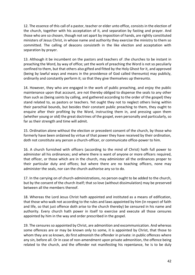12. The essence of this call of a pastor, teacher or elder unto office, consists in the election of the church, together with his acceptation of it, and separation by fasting and prayer. And those who are so chosen, though not set apart by imposition of hands, are rightly constituted ministers of Jesus Christ, in whose name and authority they exercise the ministry to them so committed. The calling of deacons consisteth in the like election and acceptation with separation by prayer.

13. Although it be incumbent on the pastors and teachers of .the churches to be instant in preaching the Word, by way of office; yet the work of preaching the Word is not so peculiarly confined to them, but that others also gifted and fitted by the Holy Ghost for it, and approved (being by lawful ways and means in the providence of God called thereunto) may publicly, ordinarily and constantly perform it; so that they give themselves up thereunto.

14. However, they who are engaged in the work of public preaching, and enjoy the public maintenance upon that account, are not thereby obliged to dispense the seals to any other than such as (being saints by calling, and gathered according to the order of the gospel) they stand related to, as pastors or teachers. Yet ought they not to neglect others living within their parochial bounds, but besides their constant public preaching to them, they ought to enquire after their profiting by the Word, instructing them in, and pressing upon them (whether young or old) the great doctrines of the gospel, even personally and particularly, so far as their strength and time will admit.

15. Ordination alone without the election or precedent consent of the church, by those who formerly have been ordained by virtue of that power they have received by their ordination, doth not constitute any person a church-officer, or communicate office-power to him.

16. A church furnished with officers (according to the mind of Christ) hath full power to administer all his ordinances; and where there is want of anyone or more officers required, that officer, or those which are in the church, may administer all the ordinances proper to their particular duty and offices; but where there are no teaching officers, none may administer the seals, nor can the church authorise any so to do.

17. In the carrying on of church-administrations, no person ought to be added to the church, but by the consent of the church itself; that so love (without dissimulation) may be preserved between all the members thereof.

18. Whereas the Lord Jesus Christ hath appointed and instituted as a means of edification, that those who walk not according to the rules and laws appointed by him (in respect of faith and life, so that just offence doth arise to the church thereby) be censured in his name and authority. Every church hath power in itself to exercise and execute all those censures appointed by him in the way and order prescribed in the gospel.

19. The censures so appointed by Christ, are admonition and excommunication. And whereas some offences are or may be known only to some, it is appointed by Christ, that those to whom they are so known, do first admonish the offender in private: in public offences where any sin, before all. Or in case of non-amendment upon private admonition, the offence being related to the church, and the offender not manifesting his repentance, he is to be duly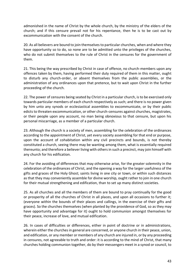admonished in the name of Christ by the whole church, by the ministry of the elders of the church; and if this censure prevail not for his repentance, then he is to be cast out by excommunication with the consent of the church.

20. As all believers are bound to join themselves to particular churches, when and where they have opportunity so to do, so none are to be admitted unto the privileges of the churches, who do not submit themselves to the rule of Christ in the censures for the government of them.

21. This being the way prescribed by Christ in case of offence, no church-members upon any offences taken by them, having performed their duty required of them in this matter, ought to disturb any church-order, or absent themselves from the public assemblies, or the administration of any ordinances upon that pretence, but to wait upon Christ in the further proceeding of the church.

22. The power of censures being seated by Christ in a particular church, is to be exercised only towards particular members of each church respectively as such; and there is no power given by him unto any synods or ecclesiastical assemblies to excommunicate, or by their public edicts to threaten excommunication, or other church-censures against churches, magistrates, or their people upon any account, no man being obnoxious to that censure, but upon his personal miscarriage, as a member of a particular church.

23. Although the church is a society of men, assembling for the celebration of the ordinances according to the appointment of Christ, yet every society assembling for that end or purpose, upon the account of cohabitation within any civil precincts and bounds, is not thereby constituted a church, seeing there may be wanting among them, what is essentially required thereunto; and therefore a believer living with others in such a precinct, may join himself with any church for his edification.

24. For the avoiding of differences that may otherwise arise, for the greater solemnity in the celebration of the ordinances of Christ, and the opening a way for the larger usefulness of the gifts and graces of the Holy Ghost; saints living in one city or town, or within such distances as that they may conveniently assemble for divine worship, ought rather to join in one church for their mutual strengthening and edification, than to set up many distinct societies.

25. As all churches and all the members of them are bound to pray continually for the good or prosperity of all the churches of Christ in all places, and upon all occasions to further it; (everyone within the bounds of their places and callings, in the exercise of their gifts and graces). So the churches themselves (when planted by the providence of God, so as they may have opportunity and advantage for it) ought to hold communion amongst themselves for their peace, increase of love, and mutual edification.

26. In cases of difficulties or differences, either in point of doctrine or in administrations, wherein either the churches in general are concerned, or anyone church in their peace, union, and edification, or any member or members of any church are injured in, or by any proceeding in censures, not agreeable to truth and order: it is according to the mind of Christ, that many churches holding communion together, do by their messengers meet in a synod or council, to